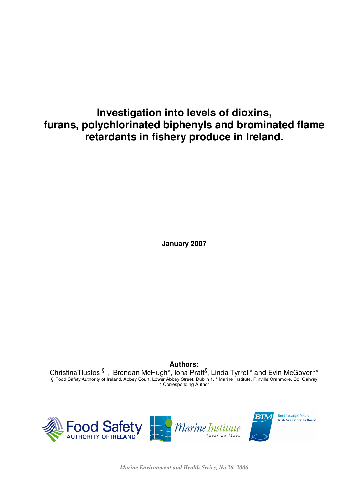# **Investigation into levels of dioxins, furans, polychlorinated biphenyls and brominated flame retardants in fishery produce in Ireland.**

**January 2007**

**Authors:** ChristinaTlustos  ${}^{§1}$ , Brendan McHugh\*, Iona Pratt ${}^{§}$ , Linda Tyrrell\* and Evin McGovern\* § Food Safety Authority of Ireland, Abbey Court, Lower Abbey Street, Dublin 1, \* Marine Institute, Rinville Oranmore, Co. Galway 1 Corresponding Author



*Marine Environment and Health Series, No.26, 2006*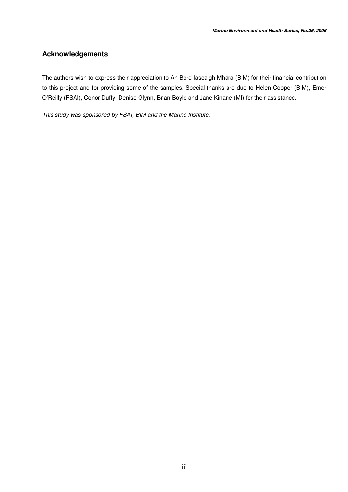## **Acknowledgements**

The authors wish to express their appreciation to An Bord Iascaigh Mhara (BIM) for their financial contribution to this project and for providing some of the samples. Special thanks are due to Helen Cooper (BIM), Emer O'Reilly (FSAI), Conor Duffy, Denise Glynn, Brian Boyle and Jane Kinane (MI) for their assistance.

*This study was sponsored by FSAI, BIM and the Marine Institute.*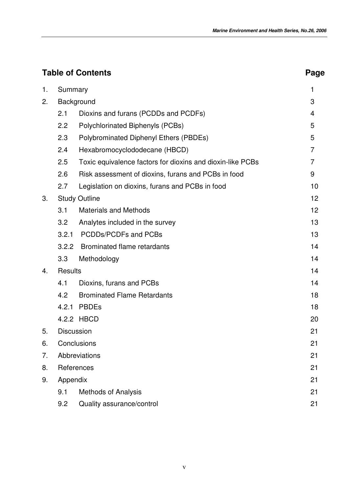| <b>Table of Contents</b> | Page              |                                                            |                |
|--------------------------|-------------------|------------------------------------------------------------|----------------|
| 1.                       | Summary           |                                                            | 1              |
| 2.                       | Background        | 3                                                          |                |
|                          | 2.1               | Dioxins and furans (PCDDs and PCDFs)                       | $\overline{4}$ |
|                          | 2.2               | Polychlorinated Biphenyls (PCBs)                           | 5              |
|                          | 2.3               | Polybrominated Diphenyl Ethers (PBDEs)                     | 5              |
|                          | 2.4               | Hexabromocyclododecane (HBCD)                              | $\overline{7}$ |
|                          | 2.5               | Toxic equivalence factors for dioxins and dioxin-like PCBs | 7              |
|                          | 2.6               | Risk assessment of dioxins, furans and PCBs in food        | 9              |
|                          | 2.7               | Legislation on dioxins, furans and PCBs in food            | 10             |
| 3.                       |                   | <b>Study Outline</b>                                       | 12             |
|                          | 3.1               | <b>Materials and Methods</b>                               | 12             |
|                          | 3.2               | Analytes included in the survey                            | 13             |
|                          | 3.2.1             | PCDDs/PCDFs and PCBs                                       | 13             |
|                          | 3.2.2             | <b>Brominated flame retardants</b>                         | 14             |
|                          | 3.3               | Methodology                                                | 14             |
| 4.                       | <b>Results</b>    |                                                            | 14             |
|                          | 4.1               | Dioxins, furans and PCBs                                   | 14             |
|                          | 4.2               | <b>Brominated Flame Retardants</b>                         | 18             |
|                          | 4.2.1             | <b>PBDEs</b>                                               | 18             |
|                          |                   | 4.2.2 HBCD                                                 | 20             |
| 5.                       | <b>Discussion</b> |                                                            | 21             |
| 6.                       |                   | Conclusions                                                | 21             |
| 7.                       |                   | Abbreviations                                              | 21             |
| 8.                       |                   | References                                                 | 21             |
| 9.                       | Appendix          |                                                            | 21             |
|                          | 9.1               | <b>Methods of Analysis</b>                                 | 21             |
|                          | 9.2               | Quality assurance/control                                  | 21             |
|                          |                   |                                                            |                |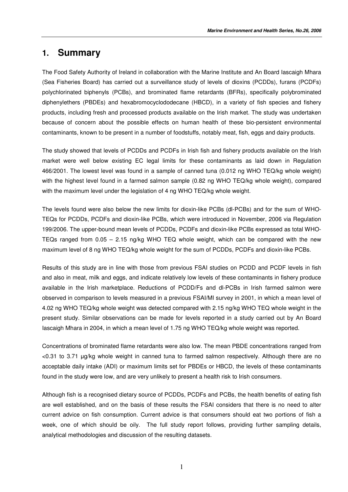## **1. Summary**

The Food Safety Authority of Ireland in collaboration with the Marine Institute and An Board Iascaigh Mhara (Sea Fisheries Board) has carried out a surveillance study of levels of dioxins (PCDDs), furans (PCDFs) polychlorinated biphenyls (PCBs), and brominated flame retardants (BFRs), specifically polybrominated diphenylethers (PBDEs) and hexabromocyclododecane (HBCD), in a variety of fish species and fishery products, including fresh and processed products available on the Irish market. The study was undertaken because of concern about the possible effects on human health of these bio-persistent environmental contaminants, known to be present in a number of foodstuffs, notably meat, fish, eggs and dairy products.

The study showed that levels of PCDDs and PCDFs in Irish fish and fishery products available on the Irish market were well below existing EC legal limits for these contaminants as laid down in Regulation 466/2001. The lowest level was found in a sample of canned tuna (0.012 ng WHO TEQ/kg whole weight) with the highest level found in a farmed salmon sample (0.82 ng WHO TEQ/kg whole weight), compared with the maximum level under the legislation of 4 ng WHO TEQ/kg whole weight.

The levels found were also below the new limits for dioxin-like PCBs (dl-PCBs) and for the sum of WHO-TEQs for PCDDs, PCDFs and dioxin-like PCBs, which were introduced in November, 2006 via Regulation 199/2006. The upper-bound mean levels of PCDDs, PCDFs and dioxin-like PCBs expressed as total WHO-TEQs ranged from 0.05 – 2.15 ng/kg WHO TEQ whole weight, which can be compared with the new maximum level of 8 ng WHO TEQ/kg whole weight for the sum of PCDDs, PCDFs and dioxin-like PCBs.

Results of this study are in line with those from previous FSAI studies on PCDD and PCDF levels in fish and also in meat, milk and eggs, and indicate relatively low levels of these contaminants in fishery produce available in the Irish marketplace. Reductions of PCDD/Fs and dl-PCBs in Irish farmed salmon were observed in comparison to levels measured in a previous FSAI/MI survey in 2001, in which a mean level of 4.02 ng WHO TEQ/kg whole weight was detected compared with 2.15 ng/kg WHO TEQ whole weight in the present study. Similar observations can be made for levels reported in a study carried out by An Board Iascaigh Mhara in 2004, in which a mean level of 1.75 ng WHO TEQ/kg whole weight was reported.

Concentrations of brominated flame retardants were also low. The mean PBDE concentrations ranged from <0.31 to 3.71 g/kg whole weight in canned tuna to farmed salmon respectively. Although there are no acceptable daily intake (ADI) or maximum limits set for PBDEs or HBCD, the levels of these contaminants found in the study were low, and are very unlikely to present a health risk to Irish consumers.

Although fish is a recognised dietary source of PCDDs, PCDFs and PCBs, the health benefits of eating fish are well established, and on the basis of these results the FSAI considers that there is no need to alter current advice on fish consumption. Current advice is that consumers should eat two portions of fish a week, one of which should be oily. The full study report follows, providing further sampling details, analytical methodologies and discussion of the resulting datasets.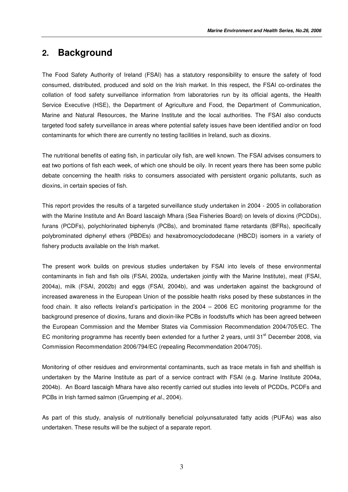## **2. Background**

The Food Safety Authority of Ireland (FSAI) has a statutory responsibility to ensure the safety of food consumed, distributed, produced and sold on the Irish market. In this respect, the FSAI co-ordinates the collation of food safety surveillance information from laboratories run by its official agents, the Health Service Executive (HSE), the Department of Agriculture and Food, the Department of Communication, Marine and Natural Resources, the Marine Institute and the local authorities. The FSAI also conducts targeted food safety surveillance in areas where potential safety issues have been identified and/or on food contaminants for which there are currently no testing facilities in Ireland, such as dioxins.

The nutritional benefits of eating fish, in particular oily fish, are well known. The FSAI advises consumers to eat two portions of fish each week, of which one should be oily. In recent years there has been some public debate concerning the health risks to consumers associated with persistent organic pollutants, such as dioxins, in certain species of fish.

This report provides the results of a targeted surveillance study undertaken in 2004 - 2005 in collaboration with the Marine Institute and An Board Iascaigh Mhara (Sea Fisheries Board) on levels of dioxins (PCDDs), furans (PCDFs), polychlorinated biphenyls (PCBs), and brominated flame retardants (BFRs), specifically polybrominated diphenyl ethers (PBDEs) and hexabromocyclododecane (HBCD) isomers in a variety of fishery products available on the Irish market.

The present work builds on previous studies undertaken by FSAI into levels of these environmental contaminants in fish and fish oils (FSAI, 2002a, undertaken jointly with the Marine Institute), meat (FSAI, 2004a), milk (FSAI, 2002b) and eggs (FSAI, 2004b), and was undertaken against the background of increased awareness in the European Union of the possible health risks posed by these substances in the food chain. It also reflects Ireland's participation in the 2004 – 2006 EC monitoring programme for the background presence of dioxins, furans and dioxin-like PCBs in foodstuffs which has been agreed between the European Commission and the Member States via Commission Recommendation 2004/705/EC. The EC monitoring programme has recently been extended for a further 2 years, until 31<sup>st</sup> December 2008, via Commission Recommendation 2006/794/EC (repealing Recommendation 2004/705).

Monitoring of other residues and environmental contaminants, such as trace metals in fish and shellfish is undertaken by the Marine Institute as part of a service contract with FSAI (e.g. Marine Institute 2004a, 2004b). An Board Iascaigh Mhara have also recently carried out studies into levels of PCDDs, PCDFs and PCBs in Irish farmed salmon (Gruemping *et al*., 2004).

As part of this study, analysis of nutritionally beneficial polyunsaturated fatty acids (PUFAs) was also undertaken. These results will be the subject of a separate report.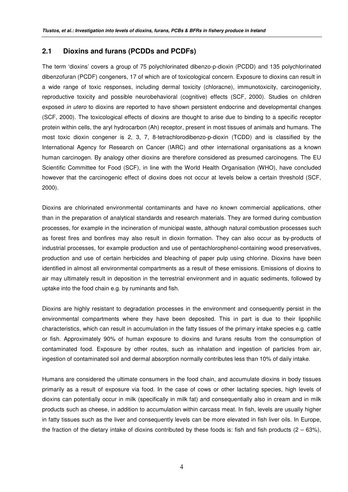### **2.1 Dioxins and furans (PCDDs and PCDFs)**

The term 'dioxins' covers a group of 75 polychlorinated dibenzo-p-dioxin (PCDD) and 135 polychlorinated dibenzofuran (PCDF) congeners, 17 of which are of toxicological concern. Exposure to dioxins can result in a wide range of toxic responses, including dermal toxicity (chloracne), immunotoxicity, carcinogenicity, reproductive toxicity and possible neurobehavioral (cognitive) effects (SCF, 2000). Studies on children exposed *in utero* to dioxins are reported to have shown persistent endocrine and developmental changes (SCF, 2000). The toxicological effects of dioxins are thought to arise due to binding to a specific receptor protein within cells, the aryl hydrocarbon (Ah) receptor, present in most tissues of animals and humans. The most toxic dioxin congener is 2, 3, 7, 8-tetrachlorodibenzo-p-dioxin (TCDD) and is classified by the International Agency for Research on Cancer (IARC) and other international organisations as a known human carcinogen. By analogy other dioxins are therefore considered as presumed carcinogens. The EU Scientific Committee for Food (SCF), in line with the World Health Organisation (WHO), have concluded however that the carcinogenic effect of dioxins does not occur at levels below a certain threshold (SCF, 2000).

Dioxins are chlorinated environmental contaminants and have no known commercial applications, other than in the preparation of analytical standards and research materials. They are formed during combustion processes, for example in the incineration of municipal waste, although natural combustion processes such as forest fires and bonfires may also result in dioxin formation. They can also occur as by-products of industrial processes, for example production and use of pentachlorophenol-containing wood preservatives, production and use of certain herbicides and bleaching of paper pulp using chlorine. Dioxins have been identified in almost all environmental compartments as a result of these emissions. Emissions of dioxins to air may ultimately result in deposition in the terrestrial environment and in aquatic sediments, followed by uptake into the food chain e.g. by ruminants and fish.

Dioxins are highly resistant to degradation processes in the environment and consequently persist in the environmental compartments where they have been deposited. This in part is due to their lipophilic characteristics, which can result in accumulation in the fatty tissues of the primary intake species e.g. cattle or fish. Approximately 90% of human exposure to dioxins and furans results from the consumption of contaminated food. Exposure by other routes, such as inhalation and ingestion of particles from air, ingestion of contaminated soil and dermal absorption normally contributes less than 10% of daily intake.

Humans are considered the ultimate consumers in the food chain, and accumulate dioxins in body tissues primarily as a result of exposure via food. In the case of cows or other lactating species, high levels of dioxins can potentially occur in milk (specifically in milk fat) and consequentially also in cream and in milk products such as cheese, in addition to accumulation within carcass meat. In fish, levels are usually higher in fatty tissues such as the liver and consequently levels can be more elevated in fish liver oils. In Europe, the fraction of the dietary intake of dioxins contributed by these foods is: fish and fish products  $(2 - 63\%)$ .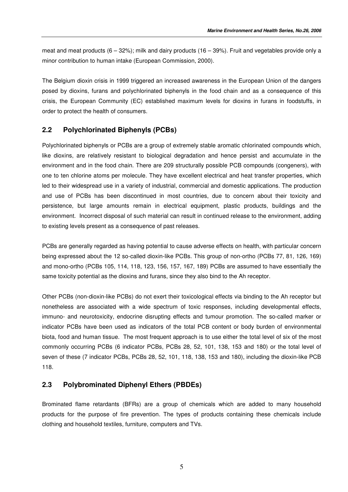meat and meat products  $(6 - 32%)$ ; milk and dairy products  $(16 - 39%)$ . Fruit and vegetables provide only a minor contribution to human intake (European Commission, 2000).

The Belgium dioxin crisis in 1999 triggered an increased awareness in the European Union of the dangers posed by dioxins, furans and polychlorinated biphenyls in the food chain and as a consequence of this crisis, the European Community (EC) established maximum levels for dioxins in furans in foodstuffs, in order to protect the health of consumers.

## **2.2 Polychlorinated Biphenyls (PCBs)**

Polychlorinated biphenyls or PCBs are a group of extremely stable aromatic chlorinated compounds which, like dioxins, are relatively resistant to biological degradation and hence persist and accumulate in the environment and in the food chain. There are 209 structurally possible PCB compounds (congeners), with one to ten chlorine atoms per molecule. They have excellent electrical and heat transfer properties, which led to their widespread use in a variety of industrial, commercial and domestic applications. The production and use of PCBs has been discontinued in most countries, due to concern about their toxicity and persistence, but large amounts remain in electrical equipment, plastic products, buildings and the environment. Incorrect disposal of such material can result in continued release to the environment, adding to existing levels present as a consequence of past releases.

PCBs are generally regarded as having potential to cause adverse effects on health, with particular concern being expressed about the 12 so-called dioxin-like PCBs. This group of non-ortho (PCBs 77, 81, 126, 169) and mono-ortho (PCBs 105, 114, 118, 123, 156, 157, 167, 189) PCBs are assumed to have essentially the same toxicity potential as the dioxins and furans, since they also bind to the Ah receptor.

Other PCBs (non-dioxin-like PCBs) do not exert their toxicological effects via binding to the Ah receptor but nonetheless are associated with a wide spectrum of toxic responses, including developmental effects, immuno- and neurotoxicity, endocrine disrupting effects and tumour promotion. The so-called marker or indicator PCBs have been used as indicators of the total PCB content or body burden of environmental biota, food and human tissue. The most frequent approach is to use either the total level of six of the most commonly occurring PCBs (6 indicator PCBs, PCBs 28, 52, 101, 138, 153 and 180) or the total level of seven of these (7 indicator PCBs, PCBs 28, 52, 101, 118, 138, 153 and 180), including the dioxin-like PCB 118.

### **2.3 Polybrominated Diphenyl Ethers (PBDEs)**

Brominated flame retardants (BFRs) are a group of chemicals which are added to many household products for the purpose of fire prevention. The types of products containing these chemicals include clothing and household textiles, furniture, computers and TVs.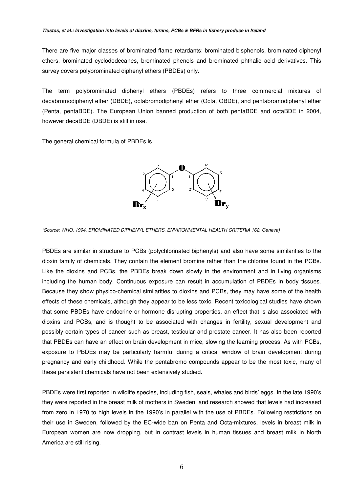There are five major classes of brominated flame retardants: brominated bisphenols, brominated diphenyl ethers, brominated cyclododecanes, brominated phenols and brominated phthalic acid derivatives. This survey covers polybrominated diphenyl ethers (PBDEs) only.

The term polybrominated diphenyl ethers (PBDEs) refers to three commercial mixtures of decabromodiphenyl ether (DBDE), octabromodiphenyl ether (Octa, OBDE), and pentabromodiphenyl ether (Penta, pentaBDE). The European Union banned production of both pentaBDE and octaBDE in 2004, however decaBDE (DBDE) is still in use.

The general chemical formula of PBDEs is



*(Source: WHO, 1994, BROMINATED DIPHENYL ETHERS, ENVIRONMENTAL HEALTH CRITERIA 162, Geneva)*

PBDEs are similar in structure to PCBs (polychlorinated biphenyls) and also have some similarities to the dioxin family of chemicals. They contain the element bromine rather than the chlorine found in the PCBs. Like the dioxins and PCBs, the PBDEs break down slowly in the environment and in living organisms including the human body. Continuous exposure can result in accumulation of PBDEs in body tissues. Because they show physico-chemical similarities to dioxins and PCBs, they may have some of the health effects of these chemicals, although they appear to be less toxic. Recent toxicological studies have shown that some PBDEs have endocrine or hormone disrupting properties, an effect that is also associated with dioxins and PCBs, and is thought to be associated with changes in fertility, sexual development and possibly certain types of cancer such as breast, testicular and prostate cancer. It has also been reported that PBDEs can have an effect on brain development in mice, slowing the learning process. As with PCBs, exposure to PBDEs may be particularly harmful during a critical window of brain development during pregnancy and early childhood. While the pentabromo compounds appear to be the most toxic, many of these persistent chemicals have not been extensively studied.

PBDEs were first reported in wildlife species, including fish, seals, whales and birds' eggs. In the late 1990's they were reported in the breast milk of mothers in Sweden, and research showed that levels had increased from zero in 1970 to high levels in the 1990's in parallel with the use of PBDEs. Following restrictions on their use in Sweden, followed by the EC-wide ban on Penta and Octa-mixtures, levels in breast milk in European women are now dropping, but in contrast levels in human tissues and breast milk in North America are still rising.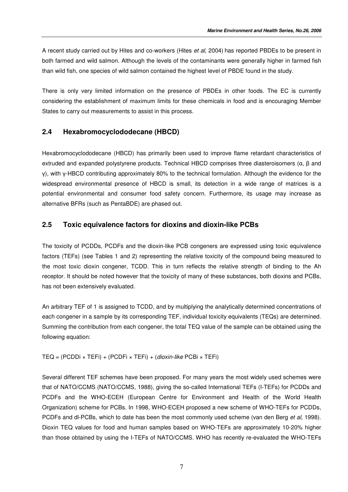A recent study carried out by Hites and co-workers (Hites *et al*, 2004) has reported PBDEs to be present in both farmed and wild salmon. Although the levels of the contaminants were generally higher in farmed fish than wild fish, one species of wild salmon contained the highest level of PBDE found in the study.

There is only very limited information on the presence of PBDEs in other foods. The EC is currently considering the establishment of maximum limits for these chemicals in food and is encouraging Member States to carry out measurements to assist in this process.

## **2.4 Hexabromocyclododecane (HBCD)**

Hexabromocyclododecane (HBCD) has primarily been used to improve flame retardant characteristics of extruded and expanded polystyrene products. Technical HBCD comprises three diasteroisomers ( $\alpha$ ,  $\beta$  and  $y$ ), with y-HBCD contributing approximately 80% to the technical formulation. Although the evidence for the widespread environmental presence of HBCD is small, its detection in a wide range of matrices is a potential environmental and consumer food safety concern. Furthermore, its usage may increase as alternative BFRs (such as PentaBDE) are phased out.

## **2.5 Toxic equivalence factors for dioxins and dioxin-like PCBs**

The toxicity of PCDDs, PCDFs and the dioxin-like PCB congeners are expressed using toxic equivalence factors (TEFs) (see Tables 1 and 2) representing the relative toxicity of the compound being measured to the most toxic dioxin congener, TCDD. This in turn reflects the relative strength of binding to the Ah receptor. It should be noted however that the toxicity of many of these substances, both dioxins and PCBs, has not been extensively evaluated.

An arbitrary TEF of 1 is assigned to TCDD, and by multiplying the analytically determined concentrations of each congener in a sample by its corresponding TEF, individual toxicity equivalents (TEQs) are determined. Summing the contribution from each congener, the total TEQ value of the sample can be obtained using the following equation:

TEQ = (PCDDi × TEFi) + (PCDFi × TEFi) + (*dioxin-like* PCBi × TEFi)

Several different TEF schemes have been proposed. For many years the most widely used schemes were that of NATO/CCMS (NATO/CCMS, 1988), giving the so-called International TEFs (I-TEFs) for PCDDs and PCDFs and the WHO-ECEH (European Centre for Environment and Health of the World Health Organization) scheme for PCBs. In 1998, WHO-ECEH proposed a new scheme of WHO-TEFs for PCDDs, PCDFs and dl-PCBs, which to date has been the most commonly used scheme (van den Berg *et al*, 1998). Dioxin TEQ values for food and human samples based on WHO-TEFs are approximately 10-20% higher than those obtained by using the I-TEFs of NATO/CCMS. WHO has recently re-evaluated the WHO-TEFs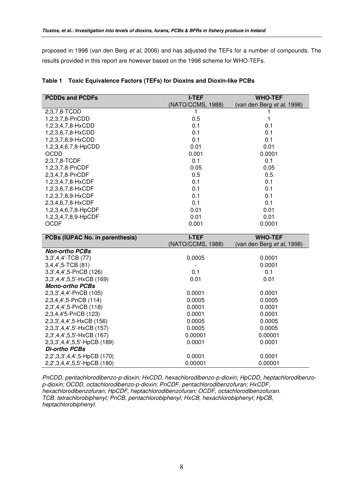proposed in 1998 (van den Berg *et al*, 2006) and has adjusted the TEFs for a number of compounds. The results provided in this report are however based on the 1998 scheme for WHO-TEFs.

| <b>PCDDs and PCDFs</b>          | <b>I-TEF</b>      | <b>WHO-TEF</b>             |
|---------------------------------|-------------------|----------------------------|
|                                 | (NATO/CCMS, 1988) | (van den Berg et al, 1998) |
| 2,3,7,8-TCDD                    |                   |                            |
| 1,2,3,7,8-PnCDD                 | 0.5               | 1                          |
| 1,2,3,4,7,8-HxCDD               | 0.1               | 0.1                        |
| 1,2,3,6,7,8-HxCDD               | 0.1               | 0.1                        |
| 1,2,3,7,8,9-HxCDD               | 0.1               | 0.1                        |
| 1,2,3,4,6,7,8-HpCDD             | 0.01              | 0.01                       |
| <b>OCDD</b>                     | 0.001             | 0.0001                     |
| 2,3,7,8-TCDF                    | 0.1               | 0.1                        |
| 1,2,3,7,8-PnCDF                 | 0.05              | 0.05                       |
| 2,3,4,7,8-PnCDF                 | 0.5               | 0.5                        |
| 1,2,3,4,7,8-HxCDF               | 0.1               | 0.1                        |
| 1,2,3,6,7,8-HxCDF               | 0.1               | 0.1                        |
| 1,2,3,7,8,9-HxCDF               | 0.1               | 0.1                        |
| 2,3,4,6,7,8-HxCDF               | 0.1               | 0.1                        |
| 1,2,3,4,6,7,8-HpCDF             | 0.01              | 0.01                       |
| 1,2,3,4,7,8,9-HpCDF             | 0.01              | 0.01                       |
| <b>OCDF</b>                     | 0.001             | 0.0001                     |
|                                 |                   |                            |
| PCBs (IUPAC No. in parenthesis) | <b>I-TEF</b>      | <b>WHO-TEF</b>             |
|                                 | (NATO/CCMS, 1988) | (van den Berg et al, 1998) |
| <b>Non-ortho PCBs</b>           |                   |                            |
| 3,3',4,4'-TCB (77)              | 0.0005            | 0.0001                     |
| 3,4,4',5-TCB (81)               |                   | 0.0001                     |
| 3,3',4,4',5-PnCB (126)          | 0.1               | 0.1                        |
| 3,3',4,4',5,5'-HxCB (169)       | 0.01              | 0.01                       |
| <b>Mono-ortho PCBs</b>          |                   |                            |
| 2,3,3',4,4'-PnCB (105)          | 0.0001            | 0.0001                     |
| 2,3,4,4',5-PnCB (114)           | 0.0005            | 0.0005                     |
| 2,3',4,4',5-PnCB (118)          | 0.0001            | 0.0001                     |
| 2,3,4,4'5-PnCB (123)            | 0.0001            | 0.0001                     |
| 2,3,3',4,4',5-HxCB (156)        | 0.0005            | 0.0005                     |
| 2,3,3',4,4',5'-HxCB (157)       | 0.0005            | 0.0005                     |

|  | Table 1 Toxic Equivalence Factors (TEFs) for Dioxins and Dioxin-like PCBs |  |  |  |
|--|---------------------------------------------------------------------------|--|--|--|
|--|---------------------------------------------------------------------------|--|--|--|

*PnCDD, pentachlorodibenzo-p-dioxin; HxCDD, hexachlorodibenzo-p-dioxin; HpCDD, heptachlorodibenzop-dioxin; OCDD, octachlorodibenzo-p-dioxin; PnCDF, pentachlorodibenzofuran; HxCDF, hexachlorodibenzofuran; HpCDF, heptachlorodibenzofuran; OCDF, octachlorodibenzofuran. TCB, tetrachlorobiphenyl; PnCB, pentachlorobiphenyl; HxCB, hexachlorobiphenyl; HpCB, heptachlorobiphenyl.*

2,3',4,4',5,5'-HxCB (167) 0.00001 0.00001 2,3,3',4,4',5,5'-HpCB (189) 0.0001 0.0001

2,2',3,3',4,4',5-HpCB (170) 0.0001 0.0001 0.0001 2,2',3,4,4',5,5'-HpCB (180) 0.00001 0.00001

*Di-ortho PCBs*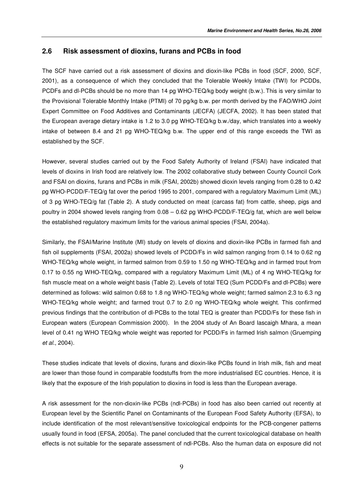## **2.6 Risk assessment of dioxins, furans and PCBs in food**

The SCF have carried out a risk assessment of dioxins and dioxin-like PCBs in food (SCF, 2000, SCF, 2001), as a consequence of which they concluded that the Tolerable Weekly Intake (TWI) for PCDDs, PCDFs and dl-PCBs should be no more than 14 pg WHO-TEQ/kg body weight (b.w.). This is very similar to the Provisional Tolerable Monthly Intake (PTMI) of 70 pg/kg b.w. per month derived by the FAO/WHO Joint Expert Committee on Food Additives and Contaminants (JECFA) (JECFA, 2002). It has been stated that the European average dietary intake is 1.2 to 3.0 pg WHO-TEQ/kg b.w./day, which translates into a weekly intake of between 8.4 and 21 pg WHO-TEQ/kg b.w. The upper end of this range exceeds the TWI as established by the SCF.

However, several studies carried out by the Food Safety Authority of Ireland (FSAI) have indicated that levels of dioxins in Irish food are relatively low. The 2002 collaborative study between County Council Cork and FSAI on dioxins, furans and PCBs in milk (FSAI, 2002b) showed dioxin levels ranging from 0.28 to 0.42 pg WHO-PCDD/F-TEQ/g fat over the period 1995 to 2001, compared with a regulatory Maximum Limit (ML) of 3 pg WHO-TEQ/g fat (Table 2). A study conducted on meat (carcass fat) from cattle, sheep, pigs and poultry in 2004 showed levels ranging from 0.08 – 0.62 pg WHO-PCDD/F-TEQ/g fat, which are well below the established regulatory maximum limits for the various animal species (FSAI, 2004a).

Similarly, the FSAI/Marine Institute (MI) study on levels of dioxins and dioxin-like PCBs in farmed fish and fish oil supplements (FSAI, 2002a) showed levels of PCDD/Fs in wild salmon ranging from 0.14 to 0.62 ng WHO-TEQ/kg whole weight, in farmed salmon from 0.59 to 1.50 ng WHO-TEQ/kg and in farmed trout from 0.17 to 0.55 ng WHO-TEQ/kg, compared with a regulatory Maximum Limit (ML) of 4 ng WHO-TEQ/kg for fish muscle meat on a whole weight basis (Table 2). Levels of total TEQ (Sum PCDD/Fs and dl-PCBs) were determined as follows: wild salmon 0.68 to 1.8 ng WHO-TEQ/kg whole weight; farmed salmon 2.3 to 6.3 ng WHO-TEQ/kg whole weight; and farmed trout 0.7 to 2.0 ng WHO-TEQ/kg whole weight. This confirmed previous findings that the contribution of dl-PCBs to the total TEQ is greater than PCDD/Fs for these fish in European waters (European Commission 2000). In the 2004 study of An Board Iascaigh Mhara, a mean level of 0.41 ng WHO TEQ/kg whole weight was reported for PCDD/Fs in farmed Irish salmon (Gruemping *et al*., 2004).

These studies indicate that levels of dioxins, furans and dioxin-like PCBs found in Irish milk, fish and meat are lower than those found in comparable foodstuffs from the more industrialised EC countries. Hence, it is likely that the exposure of the Irish population to dioxins in food is less than the European average.

A risk assessment for the non-dioxin-like PCBs (ndl-PCBs) in food has also been carried out recently at European level by the Scientific Panel on Contaminants of the European Food Safety Authority (EFSA), to include identification of the most relevant/sensitive toxicological endpoints for the PCB-congener patterns usually found in food (EFSA, 2005a). The panel concluded that the current toxicological database on health effects is not suitable for the separate assessment of ndl-PCBs. Also the human data on exposure did not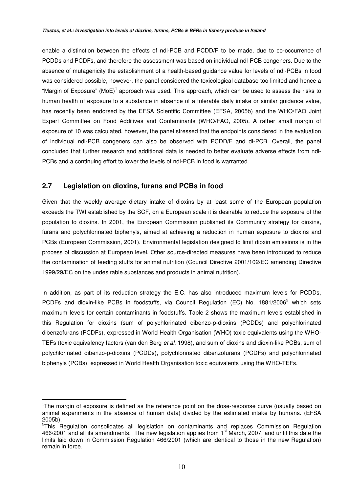enable a distinction between the effects of ndl-PCB and PCDD/F to be made, due to co-occurrence of PCDDs and PCDFs, and therefore the assessment was based on individual ndl-PCB congeners. Due to the absence of mutagenicity the establishment of a health-based guidance value for levels of ndl-PCBs in food was considered possible, however, the panel considered the toxicological database too limited and hence a "Margin of Exposure" (MoE)<sup>1</sup> approach was used. This approach, which can be used to assess the risks to human health of exposure to a substance in absence of a tolerable daily intake or similar guidance value, has recently been endorsed by the EFSA Scientific Committee (EFSA, 2005b) and the WHO/FAO Joint Expert Committee on Food Additives and Contaminants (WHO/FAO, 2005). A rather small margin of exposure of 10 was calculated, however, the panel stressed that the endpoints considered in the evaluation of individual ndl-PCB congeners can also be observed with PCDD/F and dl-PCB. Overall, the panel concluded that further research and additional data is needed to better evaluate adverse effects from ndl-PCBs and a continuing effort to lower the levels of ndl-PCB in food is warranted.

### **2.7 Legislation on dioxins, furans and PCBs in food**

Given that the weekly average dietary intake of dioxins by at least some of the European population exceeds the TWI established by the SCF, on a European scale it is desirable to reduce the exposure of the population to dioxins. In 2001, the European Commission published its Community strategy for dioxins, furans and polychlorinated biphenyls, aimed at achieving a reduction in human exposure to dioxins and PCBs (European Commission, 2001). Environmental legislation designed to limit dioxin emissions is in the process of discussion at European level. Other source-directed measures have been introduced to reduce the contamination of feeding stuffs for animal nutrition (Council Directive 2001/102/EC amending Directive 1999/29/EC on the undesirable substances and products in animal nutrition).

In addition, as part of its reduction strategy the E.C. has also introduced maximum levels for PCDDs, PCDFs and dioxin-like PCBs in foodstuffs, via Council Regulation (EC) No. 1881/2006<sup>2</sup> which sets maximum levels for certain contaminants in foodstuffs. Table 2 shows the maximum levels established in this Regulation for dioxins (sum of polychlorinated dibenzo-p-dioxins (PCDDs) and polychlorinated dibenzofurans (PCDFs), expressed in World Health Organisation (WHO) toxic equivalents using the WHO-TEFs (toxic equivalency factors (van den Berg *et al*, 1998), and sum of dioxins and dioxin-like PCBs, sum of polychlorinated dibenzo-p-dioxins (PCDDs), polychlorinated dibenzofurans (PCDFs) and polychlorinated biphenyls (PCBs), expressed in World Health Organisation toxic equivalents using the WHO-TEFs.

<sup>&</sup>lt;sup>1</sup>The margin of exposure is defined as the reference point on the dose-response curve (usually based on animal experiments in the absence of human data) divided by the estimated intake by humans. (EFSA 2005b).

<sup>&</sup>lt;sup>2</sup>This Regulation consolidates all legislation on contaminants and replaces Commission Regulation 466/2001 and all its amendments. The new legislation applies from 1<sup>st</sup> March, 2007, and until this date the limits laid down in Commission Regulation 466/2001 (which are identical to those in the new Regulation) remain in force.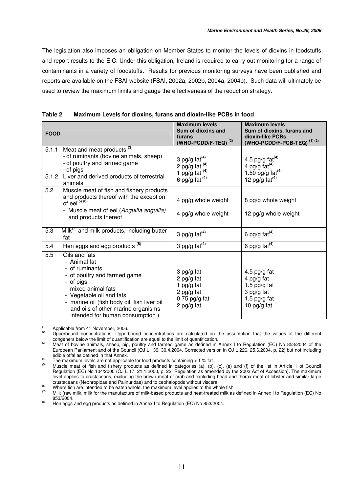The legislation also imposes an obligation on Member States to monitor the levels of dioxins in foodstuffs and report results to the E.C. Under this obligation, Ireland is required to carry out monitoring for a range of contaminants in a variety of foodstuffs. Results for previous monitoring surveys have been published and reports are available on the FSAI website (FSAI, 2002a, 2002b, 2004a, 2004b). Such data will ultimately be used to review the maximum limits and gauge the effectiveness of the reduction strategy.

| <b>FOOD</b> |                                                                                                                                                                                                                                                                         | <b>Maximum levels</b><br>Sum of dioxins and<br>furans<br>(WHO-PCDD/F-TEQ) $^{(2)}$    | <b>Maximum levels</b><br>Sum of dioxins, furans and<br>dioxin-like PCBs<br>(WHO-PCDD/F-PCB-TEQ) $^{(1)(2)}$ |
|-------------|-------------------------------------------------------------------------------------------------------------------------------------------------------------------------------------------------------------------------------------------------------------------------|---------------------------------------------------------------------------------------|-------------------------------------------------------------------------------------------------------------|
| 5.1.2       | 5.1.1 Meat and meat products <sup>(3)</sup><br>- of ruminants (bovine animals, sheep)<br>- of poultry and farmed game<br>- of pigs<br>Liver and derived products of terrestrial<br>animals                                                                              | 3 pg/g $fat(4)$<br>2 pg/g fat $(4)$<br>1 pg/g fat $(4)$<br>6 pg/g fat $(4)$           | 4.5 pg/g $fat^{(4)}$<br>4 pg/g $fat^{(4)}$<br>1.50 pg/g $fat^{(4)}$<br>12 pg/g $fat(4)$                     |
| 5.2         | Muscle meat of fish and fishery products<br>and products thereof with the exception<br>of eel $^{(5)(6)}$<br>- Muscle meat of eel (Anguilla anguilla)<br>and products thereof                                                                                           | 4 pg/g whole weight<br>4 pg/g whole weight                                            | 8 pg/g whole weight<br>12 pg/g whole weight                                                                 |
| 5.3         | $Milk(1)$ and milk products, including butter<br>fat                                                                                                                                                                                                                    | 3 pg/g fat $(4)$                                                                      | 6 pg/g fat $(4)$                                                                                            |
| 5.4         | Hen eggs and egg products <sup>(8)</sup>                                                                                                                                                                                                                                | 3 pg/g $fat^{(4)}$                                                                    | 6 pg/g $fat(4)$                                                                                             |
| 5.5         | Oils and fats<br>- Animal fat<br>- of ruminants<br>- of poultry and farmed game<br>- of pigs<br>- mixed animal fats<br>- Vegetable oil and fats<br>- marine oil (fish body oil, fish liver oil<br>and oils of other marine organisms<br>intended for human consumption) | 3 pg/g fat<br>2 pg/g fat<br>1 pg/g fat<br>2 pg/g fat<br>$0.75$ pg/g fat<br>2 pg/g fat | 4.5 pg/g fat<br>4 pg/g fat<br>1.5 $pg/g$ fat<br>3 pg/g fat<br>1.5 pg/g fat<br>10 pg/g fat                   |

| Table 2 | Maximum Levels for dioxins, furans and dioxin-like PCBs in food |  |  |
|---------|-----------------------------------------------------------------|--|--|
|---------|-----------------------------------------------------------------|--|--|

 $\mu^{(1)}$  Applicable from 4<sup>th</sup> November, 2006.

(2) Upperbound concentrations: Upperbound concentrations are calculated on the assumption that the values of the different congeners below the limit of quantification are equal to the limit of quantification.

(3) Meat of bovine animals, sheep, pig, poultry and farmed game as defined in Annex I to Regulation (EC) No 853/2004 of the European Parliament and of the Council (OJ L 139, 30.4.2004. Corrected version in OJ L 226, 25.6.2004, p. 22) but not including edible offal as defined in that Annex. (4)

The maximum levels are not applicable for food products containing < 1 % fat.

<sup>(5)</sup> Muscle meat of fish and fishery products as defined in categories (a), (b), (c), (e) and (f) of the list in Article 1 of Council Regulation (EC) No 104/2000 (OJ L 17, 21.1.2000, p. 22. Regulation as amended by the 2003 Act of Accession). The maximum level applies to crustaceans, excluding the brown meat of crab and excluding head and thorax meat of lobster and similar large crustaceans (Nephropidae and Palinuridae) and to cephalopods without viscera.

Where fish are intended to be eaten whole, the maximum level applies to the whole fish.<br>Wille (zo the whole fish and the whole, the maximum level applies to the whole fish.

Milk (raw milk, milk for the manufacture of milk-based products and heat-treated milk as defined in Annex I to Regulation (EC) No 853/2004.

 $(8)$  Hen eggs and egg products as defined in Annex I to Regulation (EC) No 853/2004.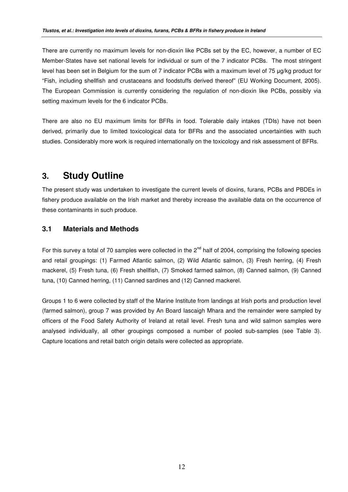There are currently no maximum levels for non-dioxin like PCBs set by the EC, however, a number of EC Member-States have set national levels for individual or sum of the 7 indicator PCBs. The most stringent level has been set in Belgium for the sum of 7 indicator PCBs with a maximum level of 75 µg/kg product for "Fish, including shellfish and crustaceans and foodstuffs derived thereof" (EU Working Document, 2005). The European Commission is currently considering the regulation of non-dioxin like PCBs, possibly via setting maximum levels for the 6 indicator PCBs.

There are also no EU maximum limits for BFRs in food. Tolerable daily intakes (TDIs) have not been derived, primarily due to limited toxicological data for BFRs and the associated uncertainties with such studies. Considerably more work is required internationally on the toxicology and risk assessment of BFRs.

## **3. Study Outline**

The present study was undertaken to investigate the current levels of dioxins, furans, PCBs and PBDEs in fishery produce available on the Irish market and thereby increase the available data on the occurrence of these contaminants in such produce.

## **3.1 Materials and Methods**

For this survey a total of 70 samples were collected in the 2<sup>nd</sup> half of 2004, comprising the following species and retail groupings: (1) Farmed Atlantic salmon, (2) Wild Atlantic salmon, (3) Fresh herring, (4) Fresh mackerel, (5) Fresh tuna, (6) Fresh shellfish, (7) Smoked farmed salmon, (8) Canned salmon, (9) Canned tuna, (10) Canned herring, (11) Canned sardines and (12) Canned mackerel.

Groups 1 to 6 were collected by staff of the Marine Institute from landings at Irish ports and production level (farmed salmon), group 7 was provided by An Board Iascaigh Mhara and the remainder were sampled by officers of the Food Safety Authority of Ireland at retail level. Fresh tuna and wild salmon samples were analysed individually, all other groupings composed a number of pooled sub-samples (see Table 3). Capture locations and retail batch origin details were collected as appropriate.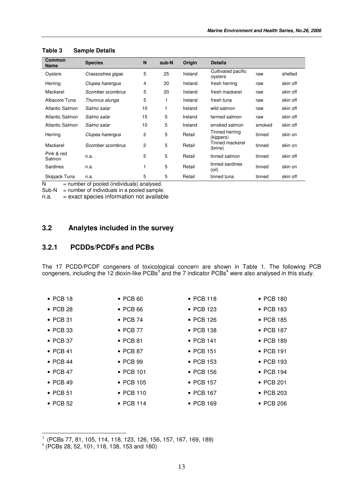| <b>Common</b><br><b>Name</b> | <b>Species</b>    | N              | sub-N | Origin  | <b>Details</b>                |        |          |
|------------------------------|-------------------|----------------|-------|---------|-------------------------------|--------|----------|
| Oysters                      | Crassostrea gigas | 5              | 25    | Ireland | Cultivated pacific<br>oysters | raw    | shelled  |
| Herring                      | Clupea harengus   | 4              | 20    | Ireland | fresh herring                 | raw    | skin off |
| Mackerel                     | Scomber scombrus  | 5              | 20    | Ireland | fresh mackerel                | raw    | skin off |
| Albacore Tuna                | Thunnus alunga    | 5              | 1     | Ireland | fresh tuna                    | raw    | skin off |
| Atlantic Salmon              | Salmo salar       | 10             |       | Ireland | wild salmon                   | raw    | skin off |
| <b>Atlantic Salmon</b>       | Salmo salar       | 15             | 5     | Ireland | farmed salmon                 | raw    | skin off |
| Atlantic Salmon              | Salmo salar       | 10             | 5     | Ireland | smoked salmon                 | smoked | skin off |
| Herring                      | Clupea harengus   | 2              | 5     | Retail  | Tinned herring<br>(kippers)   | tinned | skin on  |
| Mackerel                     | Scomber scombrus  | $\overline{2}$ | 5     | Retail  | Tinned mackerel<br>(brine)    | tinned | skin on  |
| Pink & red<br>Salmon         | n.a.              | 5              | 5     | Retail  | tinned salmon                 | tinned | skin off |
| <b>Sardines</b>              | n.a.              |                | 5     | Retail  | tinned sardines<br>(oil)      | tinned | skin on  |
| Skipjack Tuna                | n.a.              | 5              | 5     | Retail  | tinned tuna                   | tinned | skin off |

#### **Table 3 Sample Details**

 $N =$  number of pooled (individuals) analysed.

 $Sub-N$  = number of individuals in a pooled sample.

n.a. = exact species information not available

## **3.2 Analytes included in the survey**

## **3.2.1 PCDDs/PCDFs and PCBs**

The 17 PCDD/PCDF congeners of toxicological concern are shown in Table 1. The following PCB congeners, including the 12 dioxin-like PCBs<sup>3</sup> and the 7 indicator PCBs<sup>4</sup> were also analysed in this study.

| $\bullet$ PCB 18 | $\bullet$ PCB 60  | $\bullet$ PCB 118 | $\bullet$ PCB 180 |
|------------------|-------------------|-------------------|-------------------|
| $\bullet$ PCB 28 | $\bullet$ PCB 66  | • PCB 123         | • PCB 183         |
| $\bullet$ PCB 31 | $\bullet$ PCB 74  | $\bullet$ PCB 126 | $\bullet$ PCB 185 |
| $\bullet$ PCB 33 | $\bullet$ PCB 77  | • PCB 138         | $\bullet$ PCB 187 |
| $\bullet$ PCB 37 | $\bullet$ PCB 81  | $\bullet$ PCB 141 | • PCB 189         |
| $\bullet$ PCB 41 | $\bullet$ PCB 87  | $\bullet$ PCB 151 | $\bullet$ PCB 191 |
| $\bullet$ PCB 44 | $\bullet$ PCB 99  | $\bullet$ PCB 153 | $\bullet$ PCB 193 |
| $\bullet$ PCB 47 | $\bullet$ PCB 101 | $\bullet$ PCB 156 | $\bullet$ PCB 194 |
| $\bullet$ PCB 49 | $\bullet$ PCB 105 | • PCB 157         | $\bullet$ PCB 201 |
| $\bullet$ PCB 51 | $\bullet$ PCB 110 | $\bullet$ PCB 167 | $\bullet$ PCB 203 |
| $\bullet$ PCB 52 | $\bullet$ PCB 114 | • PCB 169         | • PCB 206         |

3 (PCBs 77, 81, 105, 114, 118, 123, 126, 156, 157, 167, 169, 189) 4 (PCBs 28, 52, 101, 118, 138, 153 and 180)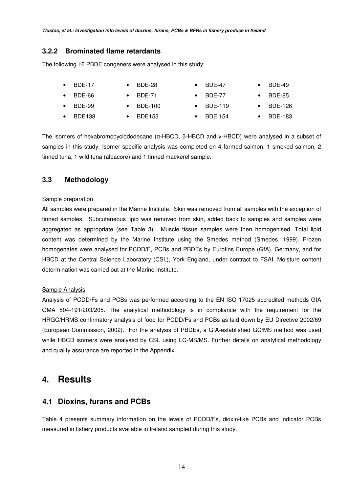## **3.2.2 Brominated flame retardants**

The following 16 PBDE congeners were analysed in this study:

|           | <b>BDE-17</b>    | $\bullet$ BDE-28  | BDE-47            | $\bullet$ BDE-49  |
|-----------|------------------|-------------------|-------------------|-------------------|
|           | $\bullet$ BDE-66 | $\bullet$ BDE-71  | BDE-77            | $\bullet$ BDE-85  |
|           | $\bullet$ BDE-99 | $\bullet$ BDE-100 | $\bullet$ BDE-119 | $\bullet$ BDE-126 |
| $\bullet$ | BDE138           | BDE153            | <b>BDE 154</b>    | $\bullet$ BDE-183 |

The isomers of hexabromocyclododecane (a-HBCD,  $\beta$ -HBCD and  $\gamma$ -HBCD) were analysed in a subset of samples in this study. Isomer specific analysis was completed on 4 farmed salmon, 1 smoked salmon, 2 tinned tuna, 1 wild tuna (albacore) and 1 tinned mackerel sample.

## **3.3 Methodology**

#### Sample preparation

All samples were prepared in the Marine Institute. Skin was removed from all samples with the exception of tinned samples. Subcutaneous lipid was removed from skin, added back to samples and samples were aggregated as appropriate (see Table 3). Muscle tissue samples were then homogenised. Total lipid content was determined by the Marine Institute using the Smedes method (Smedes, 1999). Frozen homogenates were analysed for PCDD/F, PCBs and PBDEs by Eurofins Europe (GfA), Germany, and for HBCD at the Central Science Laboratory (CSL), York England, under contract to FSAI. Moisture content determination was carried out at the Marine Institute.

### Sample Analysis

Analysis of PCDD/Fs and PCBs was performed according to the EN ISO 17025 accredited methods GfA QMA 504-191/203/205. The analytical methodology is in compliance with the requirement for the HRGC/HRMS confirmatory analysis of food for PCDD/Fs and PCBs as laid down by EU Directive 2002/69 (European Commission, 2002). For the analysis of PBDEs, a GfA-established GC/MS method was used while HBCD isomers were analysed by CSL using LC-MS/MS. Further details on analytical methodology and quality assurance are reported in the Appendix.

## **4. Results**

## **4.1 Dioxins, furans and PCBs**

Table 4 presents summary information on the levels of PCDD/Fs, dioxin-like PCBs and indicator PCBs measured in fishery products available in Ireland sampled during this study.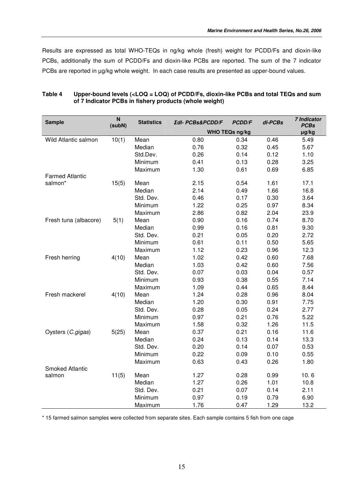Results are expressed as total WHO-TEQs in ng/kg whole (fresh) weight for PCDD/Fs and dioxin-like PCBs, additionally the sum of PCDD/Fs and dioxin-like PCBs are reported. The sum of the 7 indicator PCBs are reported in  $\mu$ g/kg whole weight. In each case results are presented as upper-bound values.

| <b>Sample</b>          | N<br>(subN) | <b>Statistics</b> | Σdl- PCBs&PCDD/F | <b>PCDD/F</b>         | dl-PCBs | <b>7 Indicator</b><br><b>PCBs</b> |
|------------------------|-------------|-------------------|------------------|-----------------------|---------|-----------------------------------|
|                        |             |                   |                  | <b>WHO TEQs ng/kg</b> |         | µg/kg                             |
| Wild Atlantic salmon   | 10(1)       | Mean              | 0.80             | 0.34                  | 0.46    | 5.49                              |
|                        |             | Median            | 0.76             | 0.32                  | 0.45    | 5.67                              |
|                        |             | Std.Dev.          | 0.26             | 0.14                  | 0.12    | 1.10                              |
|                        |             | Minimum           | 0.41             | 0.13                  | 0.28    | 3.25                              |
|                        |             | Maximum           | 1.30             | 0.61                  | 0.69    | 6.85                              |
| <b>Farmed Atlantic</b> |             |                   |                  |                       |         |                                   |
| salmon*                | 15(5)       | Mean              | 2.15             | 0.54                  | 1.61    | 17.1                              |
|                        |             | Median            | 2.14             | 0.49                  | 1.66    | 16.8                              |
|                        |             | Std. Dev.         | 0.46             | 0.17                  | 0.30    | 3.64                              |
|                        |             | Minimum           | 1.22             | 0.25                  | 0.97    | 8.34                              |
|                        |             | Maximum           | 2.86             | 0.82                  | 2.04    | 23.9                              |
| Fresh tuna (albacore)  | 5(1)        | Mean              | 0.90             | 0.16                  | 0.74    | 8.70                              |
|                        |             | Median            | 0.99             | 0.16                  | 0.81    | 9.30                              |
|                        |             | Std. Dev.         | 0.21             | 0.05                  | 0.20    | 2.72                              |
|                        |             | Minimum           | 0.61             | 0.11                  | 0.50    | 5.65                              |
|                        |             | Maximum           | 1.12             | 0.23                  | 0.96    | 12.3                              |
| Fresh herring          | 4(10)       | Mean              | 1.02             | 0.42                  | 0.60    | 7.68                              |
|                        |             | Median            | 1.03             | 0.42                  | 0.60    | 7.56                              |
|                        |             | Std. Dev.         | 0.07             | 0.03                  | 0.04    | 0.57                              |
|                        |             | Minimum           | 0.93             | 0.38                  | 0.55    | 7.14                              |
|                        |             | Maximum           | 1.09             | 0.44                  | 0.65    | 8.44                              |
| Fresh mackerel         | 4(10)       | Mean              | 1.24             | 0.28                  | 0.96    | 8.04                              |
|                        |             | Median            | 1.20             | 0.30                  | 0.91    | 7.75                              |
|                        |             | Std. Dev.         | 0.28             | 0.05                  | 0.24    | 2.77                              |
|                        |             | Minimum           | 0.97             | 0.21                  | 0.76    | 5.22                              |
|                        |             | Maximum           | 1.58             | 0.32                  | 1.26    | 11.5                              |
| Oysters (C.gigas)      | 5(25)       | Mean              | 0.37             | 0.21                  | 0.16    | 11.6                              |
|                        |             | Median            | 0.24             | 0.13                  | 0.14    | 13.3                              |
|                        |             | Std. Dev.         | 0.20             | 0.14                  | 0.07    | 0.53                              |
|                        |             | Minimum           | 0.22             | 0.09                  | 0.10    | 0.55                              |
|                        |             | Maximum           | 0.63             | 0.43                  | 0.26    | 1.80                              |
| <b>Smoked Atlantic</b> |             |                   |                  |                       |         |                                   |
| salmon                 | 11(5)       | Mean              | 1.27             | 0.28                  | 0.99    | 10.6                              |
|                        |             | Median            | 1.27             | 0.26                  | 1.01    | 10.8                              |
|                        |             | Std. Dev.         | 0.21             | 0.07                  | 0.14    | 2.11                              |
|                        |             | Minimum           | 0.97             | 0.19                  | 0.79    | 6.90                              |
|                        |             | Maximum           | 1.76             | 0.47                  | 1.29    | 13.2                              |

#### **Table 4 Upper-bound levels (<LOQ = LOQ) of PCDD/Fs, dioxin-like PCBs and total TEQs and sum of 7 Indicator PCBs in fishery products (whole weight)**

\* 15 farmed salmon samples were collected from separate sites. Each sample contains 5 fish from one cage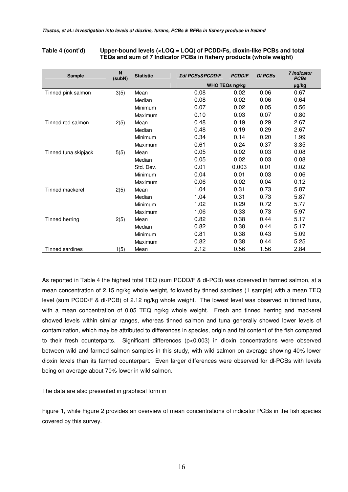#### **Table 4 (cont'd) Upper-bound levels (<LOQ = LOQ) of PCDD/Fs, dioxin-like PCBs and total TEQs and sum of 7 Indicator PCBs in fishery products (whole weight)**

| <b>Sample</b>        | N<br>(subN) | <b>Statistic</b> | Σdl PCBs&PCDD/F | <b>PCDD/F</b>  | <b>DI PCBs</b> | <b>7 Indicator</b><br><b>PCBs</b> |
|----------------------|-------------|------------------|-----------------|----------------|----------------|-----------------------------------|
|                      |             |                  |                 | WHO TEQs ng/kg |                | $\mu$ g/kg                        |
| Tinned pink salmon   | 3(5)        | Mean             | 0.08            | 0.02           | 0.06           | 0.67                              |
|                      |             | Median           | 0.08            | 0.02           | 0.06           | 0.64                              |
|                      |             | Minimum          | 0.07            | 0.02           | 0.05           | 0.56                              |
|                      |             | Maximum          | 0.10            | 0.03           | 0.07           | 0.80                              |
| Tinned red salmon    | 2(5)        | Mean             | 0.48            | 0.19           | 0.29           | 2.67                              |
|                      |             | Median           | 0.48            | 0.19           | 0.29           | 2.67                              |
|                      |             | Minimum          | 0.34            | 0.14           | 0.20           | 1.99                              |
|                      |             | Maximum          | 0.61            | 0.24           | 0.37           | 3.35                              |
| Tinned tuna skipjack | 5(5)        | Mean             | 0.05            | 0.02           | 0.03           | 0.08                              |
|                      |             | Median           | 0.05            | 0.02           | 0.03           | 0.08                              |
|                      |             | Std. Dev.        | 0.01            | 0.003          | 0.01           | 0.02                              |
|                      |             | Minimum          | 0.04            | 0.01           | 0.03           | 0.06                              |
|                      |             | Maximum          | 0.06            | 0.02           | 0.04           | 0.12                              |
| Tinned mackerel      | 2(5)        | Mean             | 1.04            | 0.31           | 0.73           | 5.87                              |
|                      |             | Median           | 1.04            | 0.31           | 0.73           | 5.87                              |
|                      |             | Minimum          | 1.02            | 0.29           | 0.72           | 5.77                              |
|                      |             | Maximum          | 1.06            | 0.33           | 0.73           | 5.97                              |
| Tinned herring       | 2(5)        | Mean             | 0.82            | 0.38           | 0.44           | 5.17                              |
|                      |             | Median           | 0.82            | 0.38           | 0.44           | 5.17                              |
|                      |             | Minimum          | 0.81            | 0.38           | 0.43           | 5.09                              |
|                      |             | Maximum          | 0.82            | 0.38           | 0.44           | 5.25                              |
| Tinned sardines      | 1(5)        | Mean             | 2.12            | 0.56           | 1.56           | 2.84                              |

As reported in Table 4 the highest total TEQ (sum PCDD/F & dl-PCB) was observed in farmed salmon, at a mean concentration of 2.15 ng/kg whole weight, followed by tinned sardines (1 sample) with a mean TEQ level (sum PCDD/F & dl-PCB) of 2.12 ng/kg whole weight. The lowest level was observed in tinned tuna, with a mean concentration of 0.05 TEQ ng/kg whole weight. Fresh and tinned herring and mackerel showed levels within similar ranges, whereas tinned salmon and tuna generally showed lower levels of contamination, which may be attributed to differences in species, origin and fat content of the fish compared to their fresh counterparts. Significant differences (p<0.003) in dioxin concentrations were observed between wild and farmed salmon samples in this study, with wild salmon on average showing 40% lower dioxin levels than its farmed counterpart. Even larger differences were observed for dl-PCBs with levels being on average about 70% lower in wild salmon.

The data are also presented in graphical form in

Figure **1**, while Figure 2 provides an overview of mean concentrations of indicator PCBs in the fish species covered by this survey.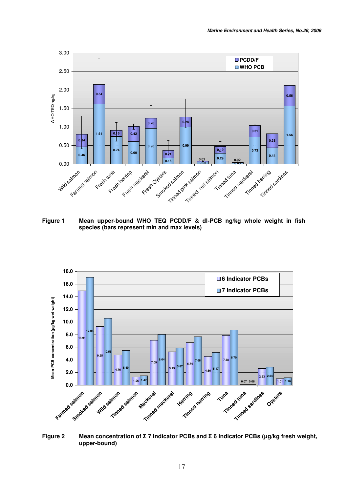

**Figure 1 Mean upper-bound WHO TEQ PCDD/F & dl-PCB ng/kg whole weight in fish species (bars represent min and max levels)**



**Figure 2 Mean concentration of** - **7 Indicator PCBs and** - **6 Indicator PCBs (g/kg fresh weight, upper-bound)**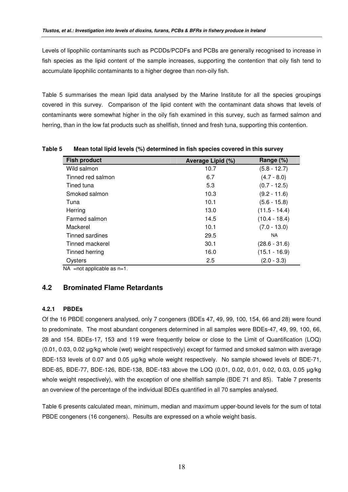Levels of lipophilic contaminants such as PCDDs/PCDFs and PCBs are generally recognised to increase in fish species as the lipid content of the sample increases, supporting the contention that oily fish tend to accumulate lipophilic contaminants to a higher degree than non-oily fish.

Table 5 summarises the mean lipid data analysed by the Marine Institute for all the species groupings covered in this survey. Comparison of the lipid content with the contaminant data shows that levels of contaminants were somewhat higher in the oily fish examined in this survey, such as farmed salmon and herring, than in the low fat products such as shellfish, tinned and fresh tuna, supporting this contention.

| <b>Fish product</b> | Average Lipid (%) | Range (%)       |
|---------------------|-------------------|-----------------|
| Wild salmon         | 10.7              | $(5.8 - 12.7)$  |
| Tinned red salmon   | 6.7               | $(4.7 - 8.0)$   |
| Tined tuna          | 5.3               | $(0.7 - 12.5)$  |
| Smoked salmon       | 10.3              | $(9.2 - 11.6)$  |
| Tuna                | 10.1              | $(5.6 - 15.8)$  |
| Herring             | 13.0              | $(11.5 - 14.4)$ |
| Farmed salmon       | 14.5              | $(10.4 - 18.4)$ |
| Mackerel            | 10.1              | $(7.0 - 13.0)$  |
| Tinned sardines     | 29.5              | <b>NA</b>       |
| Tinned mackerel     | 30.1              | $(28.6 - 31.6)$ |
| Tinned herring      | 16.0              | $(15.1 - 16.9)$ |
| Ovsters             | 2.5               | $(2.0 - 3.3)$   |

**Table 5 Mean total lipid levels (%) determined in fish species covered in this survey**

 $NA$  =not applicable as  $n=1$ .

## **4.2 Brominated Flame Retardants**

#### **4.2.1 PBDEs**

Of the 16 PBDE congeners analysed, only 7 congeners (BDEs 47, 49, 99, 100, 154, 66 and 28) were found to predominate. The most abundant congeners determined in all samples were BDEs-47, 49, 99, 100, 66, 28 and 154. BDEs-17, 153 and 119 were frequently below or close to the Limit of Quantification (LOQ)  $(0.01, 0.03, 0.02)$  ug/kg whole (wet) weight respectively) except for farmed and smoked salmon with average BDE-153 levels of 0.07 and 0.05 µg/kg whole weight respectively. No sample showed levels of BDE-71, BDE-85, BDE-77, BDE-126, BDE-138, BDE-183 above the LOQ (0.01, 0.02, 0.01, 0.02, 0.03, 0.05 g/kg whole weight respectively), with the exception of one shellfish sample (BDE 71 and 85). Table 7 presents an overview of the percentage of the individual BDEs quantified in all 70 samples analysed.

Table 6 presents calculated mean, minimum, median and maximum upper-bound levels for the sum of total PBDE congeners (16 congeners). Results are expressed on a whole weight basis.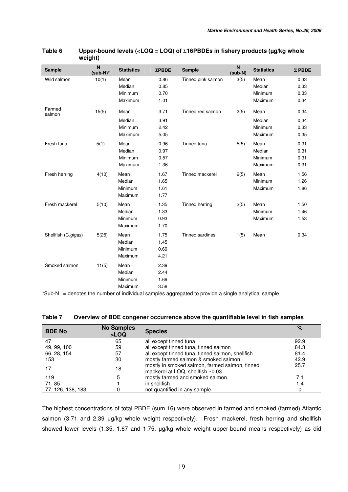| <b>Sample</b>       | $\overline{\mathsf{N}}$<br>$(sub-N)^*$ | <b>Statistics</b> | $\Sigma$ PBDE | <b>Sample</b>          | $\overline{\mathbf{N}}$<br>$(sub-N)$ | <b>Statistics</b> | $\Sigma$ PBDE |
|---------------------|----------------------------------------|-------------------|---------------|------------------------|--------------------------------------|-------------------|---------------|
| Wild salmon         | 10(1)                                  | Mean              | 0.86          | Tinned pink salmon     | 3(5)                                 | Mean              | 0.33          |
|                     |                                        | Median            | 0.85          |                        |                                      | Median            | 0.33          |
|                     |                                        | Minimum           | 0.70          |                        |                                      | Minimum           | 0.33          |
|                     |                                        | Maximum           | 1.01          |                        |                                      | Maximum           | 0.34          |
| Farmed<br>salmon    | 15(5)                                  | Mean              | 3.71          | Tinned red salmon      | 2(5)                                 | Mean              | 0.34          |
|                     |                                        | Median            | 3.91          |                        |                                      | Median            | 0.34          |
|                     |                                        | Minimum           | 2.42          |                        |                                      | Minimum           | 0.33          |
|                     |                                        | Maximum           | 5.05          |                        |                                      | Maximum           | 0.35          |
| Fresh tuna          | 5(1)                                   | Mean              | 0.96          | Tinned tuna            | 5(5)                                 | Mean              | 0.31          |
|                     |                                        | Median            | 0.97          |                        |                                      | Median            | 0.31          |
|                     |                                        | Minimum           | 0.57          |                        |                                      | Minimum           | 0.31          |
|                     |                                        | Maximum           | 1.36          |                        |                                      | Maximum           | 0.31          |
| Fresh herring       | 4(10)                                  | Mean              | 1.67          | Tinned mackerel        | 2(5)                                 | Mean              | 1.56          |
|                     |                                        | Median            | 1.65          |                        |                                      | Minimum           | 1.26          |
|                     |                                        | Minimum           | 1.61          |                        |                                      | Maximum           | 1.86          |
|                     |                                        | Maximum           | 1.77          |                        |                                      |                   |               |
| Fresh mackerel      | 5(10)                                  | Mean              | 1.35          | Tinned herring         | 2(5)                                 | Mean              | 1.50          |
|                     |                                        | Median            | 1.33          |                        |                                      | Minimum           | 1.46          |
|                     |                                        | Minimum           | 0.93          |                        |                                      | Maximum           | 1.53          |
|                     |                                        | Maximum           | 1.70          |                        |                                      |                   |               |
| Shellfish (C.gigas) | 5(25)                                  | Mean              | 1.75          | <b>Tinned sardines</b> | 1(5)                                 | Mean              | 0.34          |
|                     |                                        | Median            | 1.45          |                        |                                      |                   |               |
|                     |                                        | Minimum           | 0.69          |                        |                                      |                   |               |
|                     |                                        | Maximum           | 4.21          |                        |                                      |                   |               |
| Smoked salmon       | 11(5)                                  | Mean              | 2.39          |                        |                                      |                   |               |
|                     |                                        | Median            | 2.44          |                        |                                      |                   |               |
|                     |                                        | Minimum           | 1.69          |                        |                                      |                   |               |
|                     |                                        | Maximum           | 3.58          |                        |                                      |                   |               |

#### **Table 6 Upper-bound levels (<LOQ = LOQ) of** Σ**16PBDEs in fishery products (µg/kg whole weight)**

\*Sub-N = denotes the number of individual samples aggregated to provide a single analytical sample

| Table 7 |  | Overview of BDE congener occurrence above the quantifiable level in fish samples |  |
|---------|--|----------------------------------------------------------------------------------|--|
|---------|--|----------------------------------------------------------------------------------|--|

| <b>BDE No</b>     | <b>No Samples</b><br>>LOQ | <b>Species</b>                                                                     | $\%$ |
|-------------------|---------------------------|------------------------------------------------------------------------------------|------|
| 47                | 65                        | all except tinned tuna                                                             | 92.9 |
| 49, 99, 100       | 59                        | all except tinned tuna, tinned salmon                                              | 84.3 |
| 66, 28, 154       | 57                        | all except tinned tuna, tinned salmon, shellfish                                   | 81.4 |
| 153               | 30                        | mostly farmed salmon & smoked salmon                                               | 42.9 |
|                   | 18                        | mostly in smoked salmon, farmed salmon, tinned<br>mackerel at LOQ, shellfish ~0.03 | 25.7 |
| 119               | 5                         | mostly farmed and smoked salmon                                                    | 7.1  |
| 71,85             |                           | in shellfish                                                                       | 1.4  |
| 77, 126, 138, 183 | 0                         | not quantified in any sample                                                       |      |

The highest concentrations of total PBDE (sum 16) were observed in farmed and smoked (farmed) Atlantic salmon (3.71 and 2.39 µg/kg whole weight respectively). Fresh mackerel, fresh herring and shellfish showed lower levels (1.35, 1.67 and 1.75, µg/kg whole weight upper-bound means respectively) as did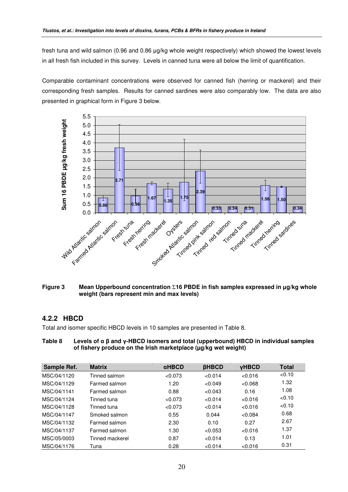fresh tuna and wild salmon (0.96 and 0.86 µg/kg whole weight respectively) which showed the lowest levels in all fresh fish included in this survey. Levels in canned tuna were all below the limit of quantification.

Comparable contaminant concentrations were observed for canned fish (herring or mackerel) and their corresponding fresh samples. Results for canned sardines were also comparably low. The data are also presented in graphical form in Figure 3 below.



#### **Figure 3 Mean Upperbound concentration** Σ**16 PBDE in fish samples expressed in g/kg whole weight (bars represent min and max levels)**

## **4.2.2 HBCD**

Total and isomer specific HBCD levels in 10 samples are presented in Table 8.

| Table 8 | Levels of $\alpha$ $\beta$ and y-HBCD isomers and total (upperbound) HBCD in individual samples |
|---------|-------------------------------------------------------------------------------------------------|
|         | of fishery produce on the Irish marketplace (µg/kg wet weight)                                  |

| Sample Ref. | <b>Matrix</b>   | $\alpha$ HBCD | <b>BHBCD</b> | <b>VHBCD</b> | <b>Total</b> |
|-------------|-----------------|---------------|--------------|--------------|--------------|
| MSC/04/1120 | Tinned salmon   | < 0.073       | < 0.014      | < 0.016      | < 0.10       |
| MSC/04/1129 | Farmed salmon   | 1.20          | < 0.049      | < 0.068      | 1.32         |
| MSC/04/1141 | Farmed salmon   | 0.88          | < 0.043      | 0.16         | 1.08         |
| MSC/04/1124 | Tinned tuna     | < 0.073       | < 0.014      | < 0.016      | < 0.10       |
| MSC/04/1128 | Tinned tuna     | < 0.073       | < 0.014      | <0.016       | < 0.10       |
| MSC/04/1147 | Smoked salmon   | 0.55          | 0.044        | < 0.084      | 0.68         |
| MSC/04/1132 | Farmed salmon   | 2.30          | 0.10         | 0.27         | 2.67         |
| MSC/04/1137 | Farmed salmon   | 1.30          | < 0.053      | <0.016       | 1.37         |
| MSC/05/0003 | Tinned mackerel | 0.87          | < 0.014      | 0.13         | 1.01         |
| MSC/04/1176 | Tuna            | 0.28          | < 0.014      | <0.016       | 0.31         |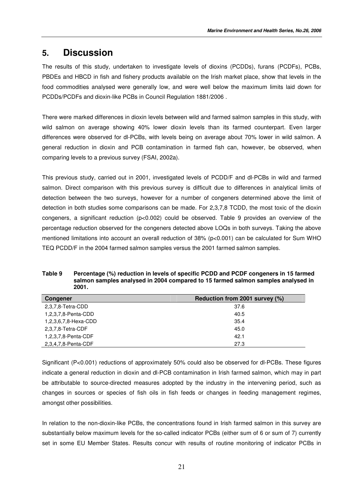## **5. Discussion**

The results of this study, undertaken to investigate levels of dioxins (PCDDs), furans (PCDFs), PCBs, PBDEs and HBCD in fish and fishery products available on the Irish market place, show that levels in the food commodities analysed were generally low, and were well below the maximum limits laid down for PCDDs/PCDFs and dioxin-like PCBs in Council Regulation 1881/2006 .

There were marked differences in dioxin levels between wild and farmed salmon samples in this study, with wild salmon on average showing 40% lower dioxin levels than its farmed counterpart. Even larger differences were observed for dl-PCBs, with levels being on average about 70% lower in wild salmon. A general reduction in dioxin and PCB contamination in farmed fish can, however, be observed, when comparing levels to a previous survey (FSAI, 2002a).

This previous study, carried out in 2001, investigated levels of PCDD/F and dl-PCBs in wild and farmed salmon. Direct comparison with this previous survey is difficult due to differences in analytical limits of detection between the two surveys, however for a number of congeners determined above the limit of detection in both studies some comparisons can be made. For 2,3,7,8 TCDD, the most toxic of the dioxin congeners, a significant reduction (p<0.002) could be observed. Table 9 provides an overview of the percentage reduction observed for the congeners detected above LOQs in both surveys. Taking the above mentioned limitations into account an overall reduction of 38% (p<0.001) can be calculated for Sum WHO TEQ PCDD/F in the 2004 farmed salmon samples versus the 2001 farmed salmon samples.

**Table 9 Percentage (%) reduction in levels of specific PCDD and PCDF congeners in 15 farmed salmon samples analysed in 2004 compared to 15 farmed salmon samples analysed in 2001.**

| Congener             | Reduction from 2001 survey (%) |
|----------------------|--------------------------------|
| 2,3,7,8-Tetra-CDD    | 37.6                           |
| 1,2,3,7,8-Penta-CDD  | 40.5                           |
| 1,2,3,6,7,8-Hexa-CDD | 35.4                           |
| 2,3,7,8-Tetra-CDF    | 45.0                           |
| 1,2,3,7,8-Penta-CDF  | 42.1                           |
| 2,3,4,7,8-Penta-CDF  | 27.3                           |

Significant (P<0.001) reductions of approximately 50% could also be observed for dl-PCBs. These figures indicate a general reduction in dioxin and dl-PCB contamination in Irish farmed salmon, which may in part be attributable to source-directed measures adopted by the industry in the intervening period, such as changes in sources or species of fish oils in fish feeds or changes in feeding management regimes, amongst other possibilities.

In relation to the non-dioxin-like PCBs, the concentrations found in Irish farmed salmon in this survey are substantially below maximum levels for the so-called indicator PCBs (either sum of 6 or sum of 7) currently set in some EU Member States. Results concur with results of routine monitoring of indicator PCBs in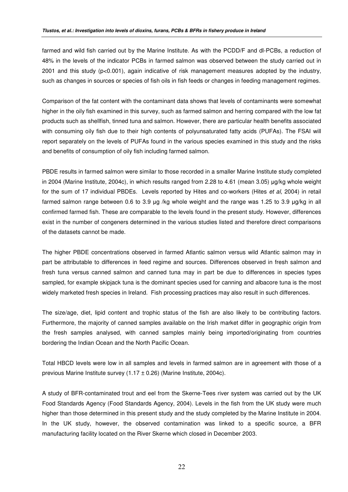farmed and wild fish carried out by the Marine Institute. As with the PCDD/F and dl-PCBs, a reduction of 48% in the levels of the indicator PCBs in farmed salmon was observed between the study carried out in 2001 and this study (p<0.001), again indicative of risk management measures adopted by the industry, such as changes in sources or species of fish oils in fish feeds or changes in feeding management regimes.

Comparison of the fat content with the contaminant data shows that levels of contaminants were somewhat higher in the oily fish examined in this survey, such as farmed salmon and herring compared with the low fat products such as shellfish, tinned tuna and salmon. However, there are particular health benefits associated with consuming oily fish due to their high contents of polyunsaturated fatty acids (PUFAs). The FSAI will report separately on the levels of PUFAs found in the various species examined in this study and the risks and benefits of consumption of oily fish including farmed salmon.

PBDE results in farmed salmon were similar to those recorded in a smaller Marine Institute study completed in 2004 (Marine Institute, 2004c), in which results ranged from 2.28 to 4.61 (mean 3.05) µg/kg whole weight for the sum of 17 individual PBDEs. Levels reported by Hites and co-workers (Hites *et al,* 2004) in retail farmed salmon range between 0.6 to 3.9  $\mu$ g /kg whole weight and the range was 1.25 to 3.9  $\mu$ g/kg in all confirmed farmed fish. These are comparable to the levels found in the present study. However, differences exist in the number of congeners determined in the various studies listed and therefore direct comparisons of the datasets cannot be made.

The higher PBDE concentrations observed in farmed Atlantic salmon versus wild Atlantic salmon may in part be attributable to differences in feed regime and sources. Differences observed in fresh salmon and fresh tuna versus canned salmon and canned tuna may in part be due to differences in species types sampled, for example skipjack tuna is the dominant species used for canning and albacore tuna is the most widely marketed fresh species in Ireland. Fish processing practices may also result in such differences.

The size/age, diet, lipid content and trophic status of the fish are also likely to be contributing factors. Furthermore, the majority of canned samples available on the Irish market differ in geographic origin from the fresh samples analysed, with canned samples mainly being imported/originating from countries bordering the Indian Ocean and the North Pacific Ocean.

Total HBCD levels were low in all samples and levels in farmed salmon are in agreement with those of a previous Marine Institute survey (1.17 ± 0.26) (Marine Institute, 2004c).

A study of BFR-contaminated trout and eel from the Skerne-Tees river system was carried out by the UK Food Standards Agency (Food Standards Agency, 2004). Levels in the fish from the UK study were much higher than those determined in this present study and the study completed by the Marine Institute in 2004. In the UK study, however, the observed contamination was linked to a specific source, a BFR manufacturing facility located on the River Skerne which closed in December 2003.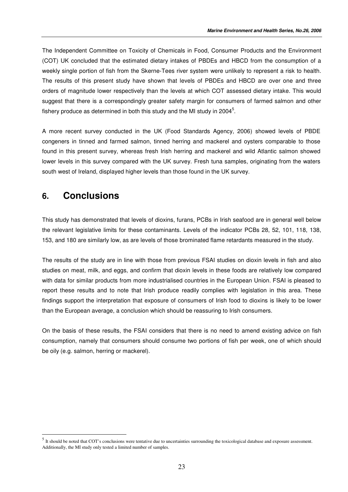The Independent Committee on Toxicity of Chemicals in Food, Consumer Products and the Environment (COT) UK concluded that the estimated dietary intakes of PBDEs and HBCD from the consumption of a weekly single portion of fish from the Skerne-Tees river system were unlikely to represent a risk to health. The results of this present study have shown that levels of PBDEs and HBCD are over one and three orders of magnitude lower respectively than the levels at which COT assessed dietary intake. This would suggest that there is a correspondingly greater safety margin for consumers of farmed salmon and other fishery produce as determined in both this study and the MI study in 2004<sup>5</sup>.

A more recent survey conducted in the UK (Food Standards Agency, 2006) showed levels of PBDE congeners in tinned and farmed salmon, tinned herring and mackerel and oysters comparable to those found in this present survey, whereas fresh Irish herring and mackerel and wild Atlantic salmon showed lower levels in this survey compared with the UK survey. Fresh tuna samples, originating from the waters south west of Ireland, displayed higher levels than those found in the UK survey.

# **6. Conclusions**

This study has demonstrated that levels of dioxins, furans, PCBs in Irish seafood are in general well below the relevant legislative limits for these contaminants. Levels of the indicator PCBs 28, 52, 101, 118, 138, 153, and 180 are similarly low, as are levels of those brominated flame retardants measured in the study.

The results of the study are in line with those from previous FSAI studies on dioxin levels in fish and also studies on meat, milk, and eggs, and confirm that dioxin levels in these foods are relatively low compared with data for similar products from more industrialised countries in the European Union. FSAI is pleased to report these results and to note that Irish produce readily complies with legislation in this area. These findings support the interpretation that exposure of consumers of Irish food to dioxins is likely to be lower than the European average, a conclusion which should be reassuring to Irish consumers.

On the basis of these results, the FSAI considers that there is no need to amend existing advice on fish consumption, namely that consumers should consume two portions of fish per week, one of which should be oily (e.g. salmon, herring or mackerel).

 $<sup>5</sup>$  It should be noted that COT's conclusions were tentative due to uncertainties surrounding the toxicological database and exposure assessment.</sup> Additionally, the MI study only tested a limited number of samples.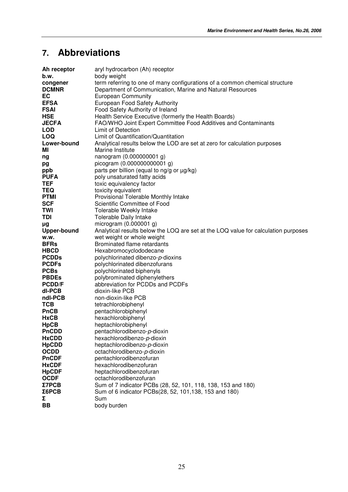# **7. Abbreviations**

| Ah receptor        | aryl hydrocarbon (Ah) receptor                                                     |
|--------------------|------------------------------------------------------------------------------------|
| b.w.               | body weight                                                                        |
| congener           | term referring to one of many configurations of a common chemical structure        |
| <b>DCMNR</b>       | Department of Communication, Marine and Natural Resources                          |
| EC                 | <b>European Community</b>                                                          |
| <b>EFSA</b>        | European Food Safety Authority                                                     |
| <b>FSAI</b>        | Food Safety Authority of Ireland                                                   |
| <b>HSE</b>         | Health Service Executive (formerly the Health Boards)                              |
| <b>JECFA</b>       | FAO/WHO Joint Expert Committee Food Additives and Contaminants                     |
| <b>LOD</b>         | Limit of Detection                                                                 |
| <b>LOQ</b>         | Limit of Quantification/Quantitation                                               |
| Lower-bound        | Analytical results below the LOD are set at zero for calculation purposes          |
| ΜI                 | Marine Institute                                                                   |
| ng                 | nanogram (0.000000001 g)                                                           |
| pg                 | picogram (0.000000000001 g)                                                        |
| ppb                | parts per billion (equal to ng/g or µg/kg)                                         |
| <b>PUFA</b>        | poly unsaturated fatty acids                                                       |
| <b>TEF</b>         | toxic equivalency factor                                                           |
| <b>TEQ</b>         | toxicity equivalent                                                                |
| <b>PTMI</b>        | Provisional Tolerable Monthly Intake                                               |
| <b>SCF</b>         | Scientific Committee of Food                                                       |
| <b>TWI</b>         | Tolerable Weekly Intake                                                            |
| <b>TDI</b>         | Tolerable Daily Intake                                                             |
| μg                 | microgram $(0.000001 g)$                                                           |
| <b>Upper-bound</b> | Analytical results below the LOQ are set at the LOQ value for calculation purposes |
| w.w.               | wet weight or whole weight                                                         |
| <b>BFRs</b>        | Brominated flame retardants                                                        |
| <b>HBCD</b>        | Hexabromocyclododecane                                                             |
| <b>PCDDs</b>       | polychlorinated dibenzo-p-dioxins                                                  |
| <b>PCDFs</b>       | polychlorinated dibenzofurans                                                      |
| <b>PCBs</b>        | polychlorinated biphenyls                                                          |
| <b>PBDEs</b>       | polybrominated diphenylethers                                                      |
| <b>PCDD/F</b>      | abbreviation for PCDDs and PCDFs                                                   |
| dl-PCB             | dioxin-like PCB                                                                    |
| ndl-PCB            | non-dioxin-like PCB                                                                |
| <b>TCB</b>         | tetrachlorobiphenyl                                                                |
| <b>PnCB</b>        | pentachlorobiphenyl                                                                |
| <b>HxCB</b>        | hexachlorobiphenyl                                                                 |
| <b>HpCB</b>        | heptachlorobiphenyl                                                                |
| <b>PnCDD</b>       | pentachlorodibenzo-p-dioxin                                                        |
| <b>HxCDD</b>       | hexachlorodibenzo-p-dioxin                                                         |
| <b>HpCDD</b>       | heptachlorodibenzo-p-dioxin                                                        |
| <b>OCDD</b>        | octachlorodibenzo-p-dioxin                                                         |
| <b>PnCDF</b>       | pentachlorodibenzofuran                                                            |
| <b>HxCDF</b>       | hexachlorodibenzofuran                                                             |
| <b>HpCDF</b>       | heptachlorodibenzofuran                                                            |
| <b>OCDF</b>        | octachlorodibenzofuran                                                             |
| <b>Σ7PCB</b>       | Sum of 7 indicator PCBs (28, 52, 101, 118, 138, 153 and 180)                       |
| $\Sigma$ 6PCB      | Sum of 6 indicator PCBs(28, 52, 101, 138, 153 and 180)                             |
| Σ                  | Sum                                                                                |
| BВ                 | body burden                                                                        |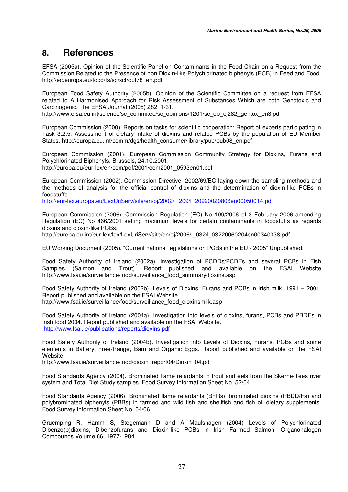## **8. References**

EFSA (2005a). Opinion of the Scientific Panel on Contaminants in the Food Chain on a Request from the Commission Related to the Presence of non Dioxin-like Polychlorinated biphenyls (PCB) in Feed and Food. http://ec.europa.eu/food/fs/sc/scf/out78\_en.pdf

European Food Safety Authority (2005b). Opinion of the Scientific Committee on a request from EFSA related to A Harmonised Approach for Risk Assessment of Substances Which are both Genotoxic and Carcinogenic. The EFSA Journal (2005) 282, 1-31.

http://www.efsa.eu.int/science/sc\_commitee/sc\_opinions/1201/sc\_op\_ej282\_gentox\_en3.pdf

European Commission (2000). Reports on tasks for scientific cooperation: Report of experts participating in Task 3.2.5. Assessment of dietary intake of dioxins and related PCBs by the population of EU Member States. http://europa.eu.int/comm/dgs/health\_consumer/library/pub/pub08\_en.pdf

European Commission (2001). European Commission Community Strategy for Dioxins, Furans and Polychlorinated Biphenyls. Brussels, 24.10.2001. http://europa.eu/eur-lex/en/com/pdf/2001/com2001\_0593en01.pdf

European Commission (2002). Commission Directive 2002/69/EC laying down the sampling methods and the methods of analysis for the official control of dioxins and the determination of dioxin-like PCBs in foodstuffs.

http://eur-lex.europa.eu/LexUriServ/site/en/oj/2002/l\_209/l\_20920020806en00050014.pdf

European Commission (2006). Commission Regulation (EC) No 199/2006 of 3 February 2006 amending Regulation (EC) No 466/2001 setting maximum levels for certain contaminants in foodstuffs as regards dioxins and dioxin-like PCBs.

http://europa.eu.int/eur-lex/lex/LexUriServ/site/en/oj/2006/l\_032/l\_03220060204en00340038.pdf

EU Working Document (2005). "Current national legislations on PCBs in the EU - 2005" Unpublished.

Food Safety Authority of Ireland (2002a). Investigation of PCDDs/PCDFs and several PCBs in Fish Samples (Salmon and Trout). Report published and available on the FSAI Website http://www.fsai.ie/surveillance/food/surveillance\_food\_summarydioxins.asp

Food Safety Authority of Ireland (2002b). Levels of Dioxins, Furans and PCBs in Irish milk, 1991 – 2001. Report published and available on the FSAI Website. http://www.fsai.ie/surveillance/food/surveillance\_food\_dioxinsmilk.asp

Food Safety Authority of Ireland (2004a). Investigation into levels of dioxins, furans, PCBs and PBDEs in Irish food 2004. Report published and available on the FSAI Website. http://www.fsai.ie/publications/reports/dioxins.pdf

Food Safety Authority of Ireland (2004b). Investigation into Levels of Dioxins, Furans, PCBs and some elements in Battery, Free-Range, Barn and Organic Eggs. Report published and available on the FSAI Website.

http://www.fsai.ie/surveillance/food/dioxin\_report04/Dioxin\_04.pdf

Food Standards Agency (2004). Brominated flame retardants in trout and eels from the Skerne-Tees river system and Total Diet Study samples. Food Survey Information Sheet No. 52/04.

Food Standards Agency (2006). Brominated flame retardants (BFRs), brominated dioxins (PBDD/Fs) and polybrominated biphenyls (PBBs) in farmed and wild fish and shellfish and fish oil dietary supplements. Food Survey Information Sheet No. 04/06.

Gruemping R, Hamm S, Stegemann D and A Maulshagen (2004) Levels of Polychlorinated Dibenzo(p)dioxins, Dibenzofurans and Dioxin-like PCBs in Irish Farmed Salmon, Organohalogen Compounds Volume 66; 1977-1984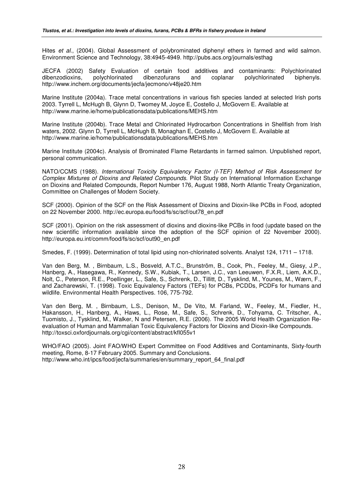Hites *et al*., (2004). Global Assessment of polybrominated diphenyl ethers in farmed and wild salmon. Environment Science and Technology, 38:4945-4949. http://pubs.acs.org/journals/esthag

JECFA (2002) Safety Evaluation of certain food additives and contaminants: Polychlorinated dibenzodioxins, polychlorinated dibenzofurans and coplanar polychlorinated biphenyls. http://www.inchem.org/documents/jecfa/jecmono/v48je20.htm

Marine Institute (2004a). Trace metal concentrations in various fish species landed at selected Irish ports 2003. Tyrrell L, McHugh B, Glynn D, Twomey M, Joyce E, Costello J, McGovern E. Available at http://www.marine.ie/home/publicationsdata/publications/MEHS.htm

Marine Institute (2004b). Trace Metal and Chlorinated Hydrocarbon Concentrations in Shellfish from Irish waters, 2002. Glynn D, Tyrrell L, McHugh B, Monaghan E, Costello J, McGovern E. Available at http://www.marine.ie/home/publicationsdata/publications/MEHS.htm

Marine Institute (2004c). Analysis of Brominated Flame Retardants in farmed salmon. Unpublished report, personal communication.

NATO/CCMS (1988). *International Toxicity Equivalency Factor (I-TEF) Method of Risk Assessment for Complex Mixtures of Dioxins and Related Compounds*. Pilot Study on International Information Exchange on Dioxins and Related Compounds, Report Number 176, August 1988, North Atlantic Treaty Organization, Committee on Challenges of Modern Society.

SCF (2000). Opinion of the SCF on the Risk Assessment of Dioxins and Dioxin-like PCBs in Food, adopted on 22 November 2000. http://ec.europa.eu/food/fs/sc/scf/out78\_en.pdf

SCF (2001). Opinion on the risk assessment of dioxins and dioxins-like PCBs in food (update based on the new scientific information available since the adoption of the SCF opinion of 22 November 2000). http://europa.eu.int/comm/food/fs/sc/scf/out90\_en.pdf

Smedes, F. (1999). Determination of total lipid using non-chlorinated solvents. Analyst 124, 1711 – 1718.

Van den Berg, M. , Birnbaum, L.S., Bosveld, A.T.C., Brunström, B., Cook, Ph., Feeley, M., Giesy, J.P., Hanberg, A., Hasegawa, R., Kennedy, S.W., Kubiak, T., Larsen, J.C., van Leeuwen, F.X.R., Liem, A.K.D., Nolt, C., Peterson, R.E., Poellinger, L., Safe, S., Schrenk, D., Tillitt, D., Tysklind, M., Younes, M., Wærn, F., and Zacharewski, T. (1998). Toxic Equivalency Factors (TEFs) for PCBs, PCDDs, PCDFs for humans and wildlife. Environmental Health Perspectives. 106, 775-792.

Van den Berg, M. , Birnbaum, L.S., Denison, M., De Vito, M. Farland, W., Feeley, M., Fiedler, H., Hakansson, H., Hanberg, A., Haws, L., Rose, M., Safe, S., Schrenk, D., Tohyama, C. Tritscher, A., Tuomisto, J., Tysklind, M., Walker, N and Petersen, R.E. (2006). The 2005 World Health Organization Reevaluation of Human and Mammalian Toxic Equivalency Factors for Dioxins and Dioxin-like Compounds. http://toxsci.oxfordjournals.org/cgi/content/abstract/kfl055v1

WHO/FAO (2005). Joint FAO/WHO Expert Committee on Food Additives and Contaminants, Sixty-fourth meeting, Rome, 8-17 February 2005. Summary and Conclusions. http://www.who.int/ipcs/food/jecfa/summaries/en/summary\_report\_64\_final.pdf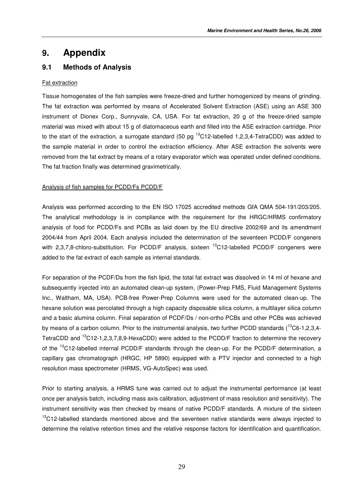## **9. Appendix**

## **9.1 Methods of Analysis**

#### Fat extraction

Tissue homogenates of the fish samples were freeze-dried and further homogenized by means of grinding. The fat extraction was performed by means of Accelerated Solvent Extraction (ASE) using an ASE 300 instrument of Dionex Corp., Sunnyvale, CA, USA. For fat extraction, 20 g of the freeze-dried sample material was mixed with about 15 g of diatomaceous earth and filled into the ASE extraction cartridge. Prior to the start of the extraction, a surrogate standard (50 pg <sup>13</sup>C12-labelled 1,2,3,4-TetraCDD) was added to the sample material in order to control the extraction efficiency. After ASE extraction the solvents were removed from the fat extract by means of a rotary evaporator which was operated under defined conditions. The fat fraction finally was determined gravimetrically.

#### Analysis of fish samples for PCDD/Fs PCDD/F

Analysis was performed according to the EN ISO 17025 accredited methods GfA QMA 504-191/203/205. The analytical methodology is in compliance with the requirement for the HRGC/HRMS confirmatory analysis of food for PCDD/Fs and PCBs as laid down by the EU directive 2002/69 and its amendment 2004/44 from April 2004. Each analysis included the determination of the seventeen PCDD/F congeners with 2,3,7,8-chloro-substitution. For PCDD/F analysis, sixteen <sup>13</sup>C12-labelled PCDD/F congeners were added to the fat extract of each sample as internal standards.

For separation of the PCDF/Ds from the fish lipid, the total fat extract was dissolved in 14 ml of hexane and subsequently injected into an automated clean-up system, (Power-Prep FMS, Fluid Management Systems Inc., Waltham, MA, USA). PCB-free Power-Prep Columns were used for the automated clean-up. The hexane solution was percolated through a high capacity disposable silica column, a multilayer silica column and a basic alumina column. Final separation of PCDF/Ds / non-ortho PCBs and other PCBs was achieved by means of a carbon column. Prior to the instrumental analysis, two further PCDD standards (<sup>13</sup>C6-1,2,3,4-TetraCDD and <sup>13</sup>C12-1,2,3,7,8,9-HexaCDD) were added to the PCDD/F fraction to determine the recovery of the <sup>13</sup>C12-labelled internal PCDD/F standards through the clean-up. For the PCDD/F determination, a capillary gas chromatograph (HRGC, HP 5890) equipped with a PTV injector and connected to a high resolution mass spectrometer (HRMS, VG-AutoSpec) was used.

Prior to starting analysis, a HRMS tune was carried out to adjust the instrumental performance (at least once per analysis batch, including mass axis calibration, adjustment of mass resolution and sensitivity). The instrument sensitivity was then checked by means of native PCDD/F standards. A mixture of the sixteen  $13$ C12-labelled standards mentioned above and the seventeen native standards were always injected to determine the relative retention times and the relative response factors for identification and quantification.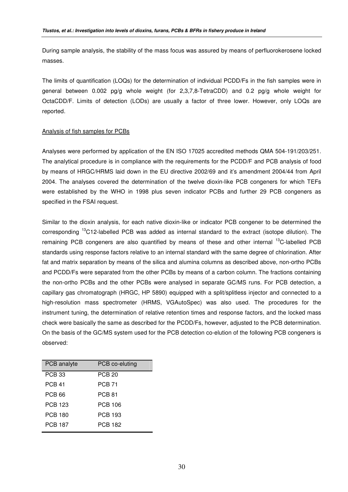During sample analysis, the stability of the mass focus was assured by means of perfluorokerosene locked masses.

The limits of quantification (LOQs) for the determination of individual PCDD/Fs in the fish samples were in general between 0.002 pg/g whole weight (for 2,3,7,8-TetraCDD) and 0.2 pg/g whole weight for OctaCDD/F. Limits of detection (LODs) are usually a factor of three lower. However, only LOQs are reported.

#### Analysis of fish samples for PCBs

Analyses were performed by application of the EN ISO 17025 accredited methods QMA 504-191/203/251. The analytical procedure is in compliance with the requirements for the PCDD/F and PCB analysis of food by means of HRGC/HRMS laid down in the EU directive 2002/69 and it's amendment 2004/44 from April 2004. The analyses covered the determination of the twelve dioxin-like PCB congeners for which TEFs were established by the WHO in 1998 plus seven indicator PCBs and further 29 PCB congeners as specified in the FSAI request.

Similar to the dioxin analysis, for each native dioxin-like or indicator PCB congener to be determined the corresponding <sup>13</sup>C12-labelled PCB was added as internal standard to the extract (isotope dilution). The remaining PCB congeners are also quantified by means of these and other internal <sup>13</sup>C-labelled PCB standards using response factors relative to an internal standard with the same degree of chlorination. After fat and matrix separation by means of the silica and alumina columns as described above, non-ortho PCBs and PCDD/Fs were separated from the other PCBs by means of a carbon column. The fractions containing the non-ortho PCBs and the other PCBs were analysed in separate GC/MS runs. For PCB detection, a capillary gas chromatograph (HRGC, HP 5890) equipped with a split/splitless injector and connected to a high-resolution mass spectrometer (HRMS, VGAutoSpec) was also used. The procedures for the instrument tuning, the determination of relative retention times and response factors, and the locked mass check were basically the same as described for the PCDD/Fs, however, adjusted to the PCB determination. On the basis of the GC/MS system used for the PCB detection co-elution of the following PCB congeners is observed:

| PCB analyte   | PCB co-eluting |
|---------------|----------------|
| <b>PCB 33</b> | <b>PCB 20</b>  |
| <b>PCB 41</b> | <b>PCB 71</b>  |
| PCB 66        | <b>PCB 81</b>  |
| PCB 123       | PCB 106        |
| PCB 180       | PCB 193        |
| PCB 187       | PCB 182        |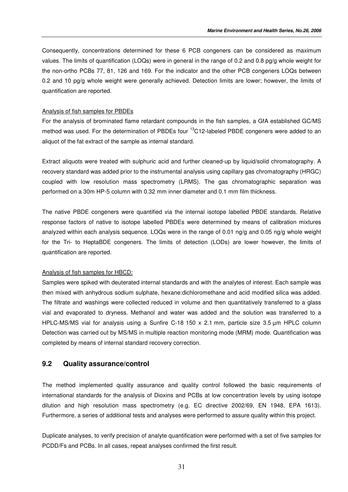Consequently, concentrations determined for these 6 PCB congeners can be considered as maximum values. The limits of quantification (LOQs) were in general in the range of 0.2 and 0.8 pg/g whole weight for the non-ortho PCBs 77, 81, 126 and 169. For the indicator and the other PCB congeners LOQs between 0.2 and 10 pg/g whole weight were generally achieved. Detection limits are lower; however, the limits of quantification are reported.

#### Analysis of fish samples for PBDEs

For the analysis of brominated flame retardant compounds in the fish samples, a GfA established GC/MS method was used. For the determination of PBDEs four <sup>13</sup>C12-labeled PBDE congeners were added to an aliquot of the fat extract of the sample as internal standard.

Extract aliquots were treated with sulphuric acid and further cleaned-up by liquid/solid chromatography. A recovery standard was added prior to the instrumental analysis using capillary gas chromatography (HRGC) coupled with low resolution mass spectrometry (LRMS). The gas chromatographic separation was performed on a 30m HP-5 column with 0.32 mm inner diameter and 0.1 mm film thickness.

The native PBDE congeners were quantified via the internal isotope labelled PBDE standards. Relative response factors of native to isotope labelled PBDEs were determined by means of calibration mixtures analyzed within each analysis sequence. LOQs were in the range of 0.01 ng/g and 0.05 ng/g whole weight for the Tri- to HeptaBDE congeners. The limits of detection (LODs) are lower however, the limits of quantification are reported.

#### Analysis of fish samples for HBCD:

Samples were spiked with deuterated internal standards and with the analytes of interest. Each sample was then mixed with anhydrous sodium sulphate, hexane:dichloromethane and acid modified silica was added. The filtrate and washings were collected reduced in volume and then quantitatively transferred to a glass vial and evaporated to dryness. Methanol and water was added and the solution was transferred to a HPLC-MS/MS vial for analysis using a Sunfire C-18 150 x 2.1 mm, particle size 3.5 µm HPLC column Detection was carried out by MS/MS in multiple reaction monitoring mode (MRM) mode. Quantification was completed by means of internal standard recovery correction.

### **9.2 Quality assurance/control**

The method implemented quality assurance and quality control followed the basic requirements of international standards for the analysis of Dioxins and PCBs at low concentration levels by using isotope dilution and high resolution mass spectrometry (e.g. EC directive 2002/69, EN 1948, EPA 1613). Furthermore, a series of additional tests and analyses were performed to assure quality within this project.

Duplicate analyses, to verify precision of analyte quantification were performed with a set of five samples for PCDD/Fs and PCBs. In all cases, repeat analyses confirmed the first result.